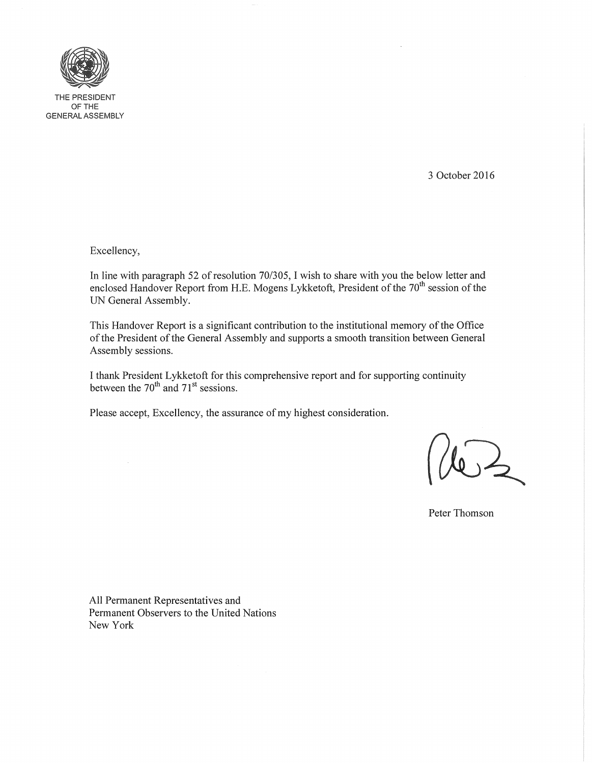

THE PRESIDENT OFTHE GENERAL ASSEMBLY

3 October 2016

Excellency,

In line with paragraph 52 of resolution *70/305,* I wish to share with you the below letter and enclosed Handover Report from H.E. Mogens Lykketoft, President of the 70<sup>th</sup> session of the UN General Assembly.

This Handover Report is a significant contribution to the institutional memory of the Office of the President of the General Assembly and supports a smooth transition between General Assembly sessions.

I thank President Lykketoft for this comprehensive report and for supporting continuity between the  $70^{th}$  and  $71^{st}$  sessions.

Please accept, Excellency, the assurance of my highest consideration.

Peter Thomson

All Permanent Representatives and Permanent Observers to the United Nations New York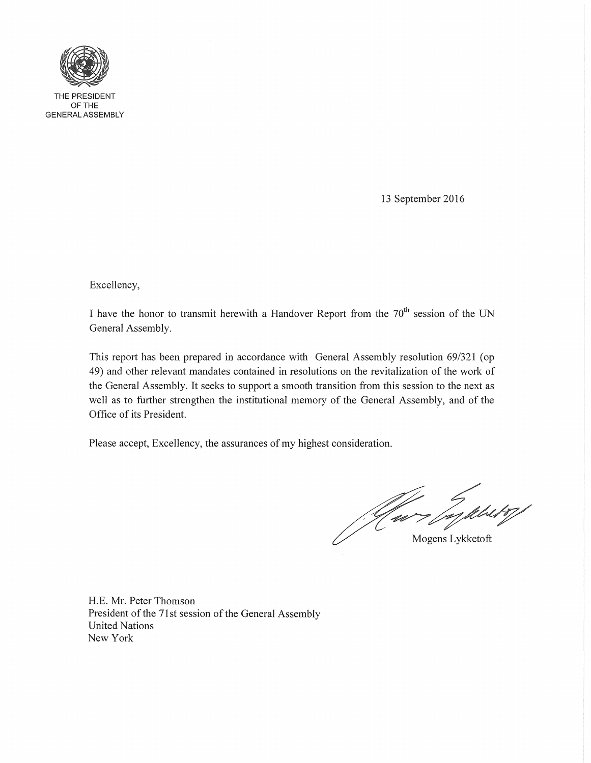

THE PRESIDENT OFTHE GENERAL ASSEMBLY

13 September 2016

Excellency,

I have the honor to transmit herewith a Handover Report from the  $70<sup>th</sup>$  session of the UN General Assembly.

This report has been prepared in accordance with General Assembly resolution 69/321 (op 49) and other relevant mandates contained in resolutions on the revitalization of the work of the General Assembly. It seeks to support a smooth transition from this session to the next as well as to further strengthen the institutional memory of the General Assembly, and of the Office of its President.

Please accept, Excellency, the assurances of my highest consideration.

Mogens Lykketoft

H.E. Mr. Peter Thomson President of the 71st session of the General Assembly United Nations New York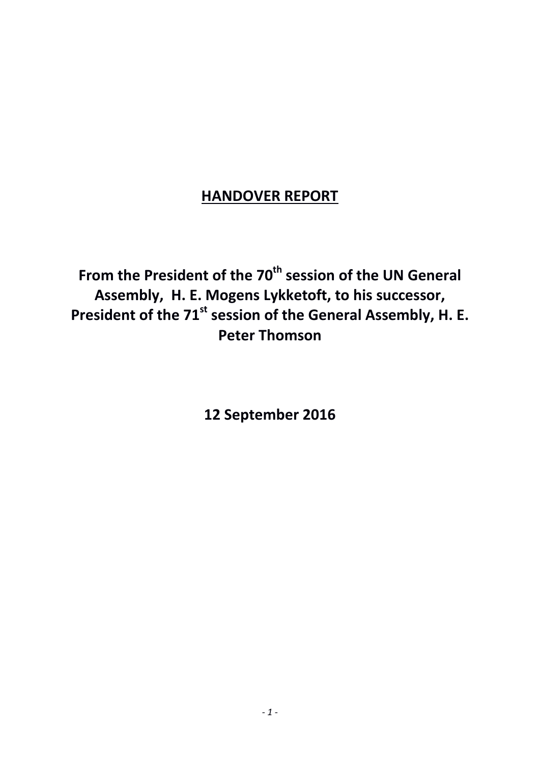# **HANDOVER REPORT**

From the President of the 70<sup>th</sup> session of the UN General **Assembly, H. E. Mogens Lykketoft, to his successor,**  President of the 71<sup>st</sup> session of the General Assembly, H. E. **Peter Thomson** 

<span id="page-2-0"></span>**12 September 2016**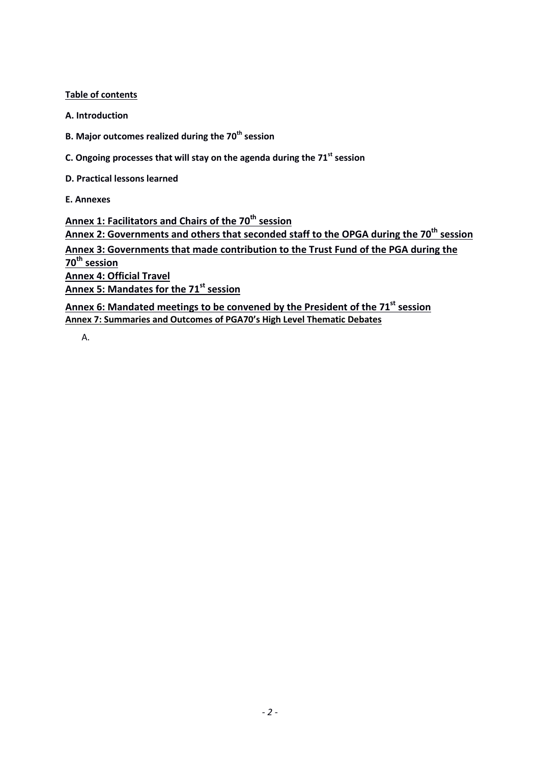**Table of contents**

**A. Introduction**

**B. Major outcomes realized during the 70th session**

**C. Ongoing processes that will stay on the agenda during the 71st session**

**D. Practical lessons learned**

**E. Annexes**

**Annex 1: Facilitators and Chairs of the 70th session Annex 2: Governments and others that seconded staff to the OPGA during the 70th session Annex 3: Governments that made contribution to the Trust Fund of the PGA during the 70th session Annex 4: Official Travel Annex 5: Mandates for the 71st session Annex 6: Mandated meetings to be convened by the President of the 71st session**

**Annex 7: Summaries and Outcomes of PGA70's High Level Thematic Debates**

A.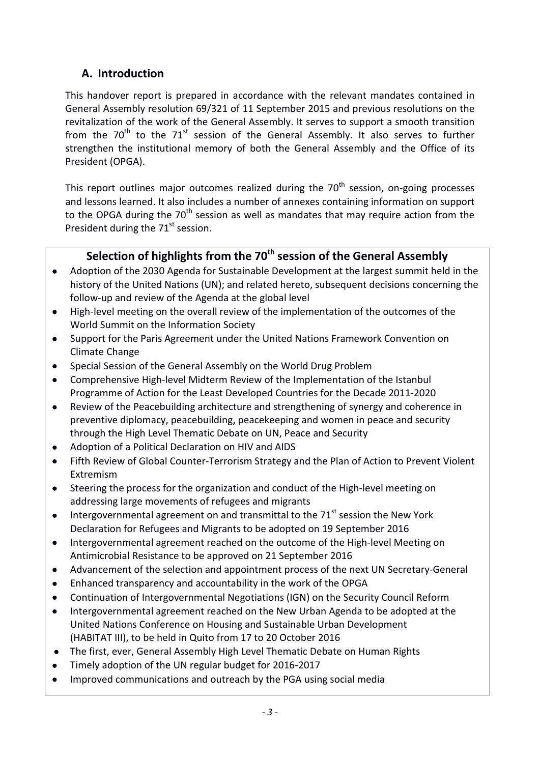# **A. Introduction**

This handover report is prepared in accordance with the relevant mandates contained in General Assembly resolution 69/321 of 11 September 2015 and previous resolutions on the revitalization of the work of the General Assembly. It serves to support a smooth transition from the  $70^{th}$  to the  $71^{st}$  session of the General Assembly. It also serves to further strengthen the institutional memory of both the General Assembly and the Office of its President (OPGA).

This report outlines major outcomes realized during the  $70<sup>th</sup>$  session, on-going processes and lessons learned. It also includes a number of annexes containing information on support to the OPGA during the  $70<sup>th</sup>$  session as well as mandates that may require action from the President during the  $71<sup>st</sup>$  session.

# **Selection of highlights from the 70th session of the General Assembly**

- Adoption of the 2030 Agenda for Sustainable Development at the largest summit held in the history of the United Nations (UN); and related hereto, subsequent decisions concerning the follow-up and review of the Agenda at the global level
- High-level meeting on the overall review of the implementation of the outcomes of the World Summit on the Information Society
- Support for the Paris Agreement under the United Nations Framework Convention on Climate Change
- Special Session of the General Assembly on the World Drug Problem
- Comprehensive High-level Midterm Review of the Implementation of the Istanbul Programme of Action for the Least Developed Countries for the Decade 2011-2020
- Review of the Peacebuilding architecture and strengthening of synergy and coherence in preventive diplomacy, peacebuilding, peacekeeping and women in peace and security through the High Level Thematic Debate on UN, Peace and Security
- Adoption of a Political Declaration on HIV and AIDS
- Fifth Review of Global Counter-Terrorism Strategy and the Plan of Action to Prevent Violent Extremism
- Steering the process for the organization and conduct of the High-level meeting on addressing large movements of refugees and migrants
- Intergovernmental agreement on and transmittal to the  $71<sup>st</sup>$  session the New York Declaration for Refugees and Migrants to be adopted on 19 September 2016
- Intergovernmental agreement reached on the outcome of the High-level Meeting on Antimicrobial Resistance to be approved on 21 September 2016
- Advancement of the selection and appointment process of the next UN Secretary-General
- Enhanced transparency and accountability in the work of the OPGA
- Continuation of Intergovernmental Negotiations (IGN) on the Security Council Reform
- Intergovernmental agreement reached on the New Urban Agenda to be adopted at the United Nations Conference on Housing and Sustainable Urban Development (HABITAT III), to be held in Quito from 17 to 20 October 2016
- The first, ever, General Assembly High Level Thematic Debate on Human Rights
- Timely adoption of the UN regular budget for 2016-2017
- Improved communications and outreach by the PGA using social media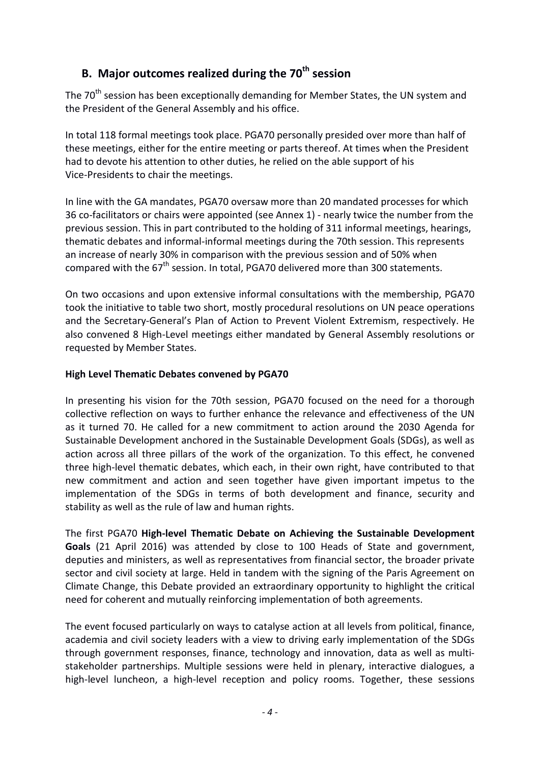# **B. Major outcomes realized during the 70th session**

The 70<sup>th</sup> session has been exceptionally demanding for Member States, the UN system and the President of the General Assembly and his office.

In total 118 formal meetings took place. PGA70 personally presided over more than half of these meetings, either for the entire meeting or parts thereof. At times when the President had to devote his attention to other duties, he relied on the able support of his Vice-Presidents to chair the meetings.

In line with the GA mandates, PGA70 oversaw more than 20 mandated processes for which 36 co-facilitators or chairs were appointed (see Annex 1) - nearly twice the number from the previous session. This in part contributed to the holding of 311 informal meetings, hearings, thematic debates and informal-informal meetings during the 70th session. This represents an increase of nearly 30% in comparison with the previous session and of 50% when compared with the  $67<sup>th</sup>$  session. In total, PGA70 delivered more than 300 statements.

On two occasions and upon extensive informal consultations with the membership, PGA70 took the initiative to table two short, mostly procedural resolutions on UN peace operations and the Secretary-General's Plan of Action to Prevent Violent Extremism, respectively. He also convened 8 High-Level meetings either mandated by General Assembly resolutions or requested by Member States.

## **High Level Thematic Debates convened by PGA70**

In presenting his vision for the 70th session, PGA70 focused on the need for a thorough collective reflection on ways to further enhance the relevance and effectiveness of the UN as it turned 70. He called for a new commitment to action around the 2030 Agenda for Sustainable Development anchored in the Sustainable Development Goals (SDGs), as well as action across all three pillars of the work of the organization. To this effect, he convened three high-level thematic debates, which each, in their own right, have contributed to that new commitment and action and seen together have given important impetus to the implementation of the SDGs in terms of both development and finance, security and stability as well as the rule of law and human rights.

The first PGA70 **High-level Thematic Debate on Achieving the Sustainable Development Goals** (21 April 2016) was attended by close to 100 Heads of State and government, deputies and ministers, as well as representatives from financial sector, the broader private sector and civil society at large. Held in tandem with the signing of the Paris Agreement on Climate Change, this Debate provided an extraordinary opportunity to highlight the critical need for coherent and mutually reinforcing implementation of both agreements.

The event focused particularly on ways to catalyse action at all levels from political, finance, academia and civil society leaders with a view to driving early implementation of the SDGs through government responses, finance, technology and innovation, data as well as multistakeholder partnerships. Multiple sessions were held in plenary, interactive dialogues, a high-level luncheon, a high-level reception and policy rooms. Together, these sessions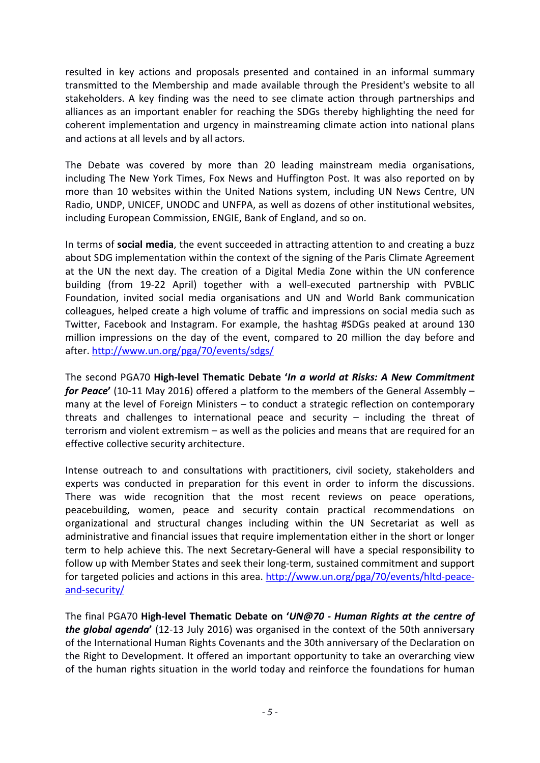resulted in key actions and proposals presented and contained in an informal summary transmitted to the Membership and made available through the President's website to all stakeholders. A key finding was the need to see climate action through partnerships and alliances as an important enabler for reaching the SDGs thereby highlighting the need for coherent implementation and urgency in mainstreaming climate action into national plans and actions at all levels and by all actors.

The Debate was covered by more than 20 leading mainstream media organisations, including The New York Times, Fox News and Huffington Post. It was also reported on by more than 10 websites within the United Nations system, including UN News Centre, UN Radio, UNDP, UNICEF, UNODC and UNFPA, as well as dozens of other institutional websites, including European Commission, ENGIE, Bank of England, and so on.

In terms of **social media**, the event succeeded in attracting attention to and creating a buzz about SDG implementation within the context of the signing of the Paris Climate Agreement at the UN the next day. The creation of a Digital Media Zone within the UN conference building (from 19-22 April) together with a well-executed partnership with PVBLIC Foundation, invited social media organisations and UN and World Bank communication colleagues, helped create a high volume of traffic and impressions on social media such as Twitter, Facebook and Instagram. For example, the hashtag #SDGs peaked at around 130 million impressions on the day of the event, compared to 20 million the day before and after.<http://www.un.org/pga/70/events/sdgs/>

The second PGA70 **High-level Thematic Debate '***In a world at Risks: A New Commitment for Peace***'** (10-11 May 2016) offered a platform to the members of the General Assembly – many at the level of Foreign Ministers – to conduct a strategic reflection on contemporary threats and challenges to international peace and security – including the threat of terrorism and violent extremism – as well as the policies and means that are required for an effective collective security architecture.

Intense outreach to and consultations with practitioners, civil society, stakeholders and experts was conducted in preparation for this event in order to inform the discussions. There was wide recognition that the most recent reviews on peace operations, peacebuilding, women, peace and security contain practical recommendations on organizational and structural changes including within the UN Secretariat as well as administrative and financial issues that require implementation either in the short or longer term to help achieve this. The next Secretary-General will have a special responsibility to follow up with Member States and seek their long-term, sustained commitment and support for targeted policies and actions in this area. [http://www.un.org/pga/70/events/hltd-peace](http://www.un.org/pga/70/events/hltd-peace-and-security/)[and-security/](http://www.un.org/pga/70/events/hltd-peace-and-security/)

The final PGA70 **High-level Thematic Debate on '***UN@70 - Human Rights at the centre of the global agenda***'** (12-13 July 2016) was organised in the context of the 50th anniversary of the International Human Rights Covenants and the 30th anniversary of the Declaration on the Right to Development. It offered an important opportunity to take an overarching view of the human rights situation in the world today and reinforce the foundations for human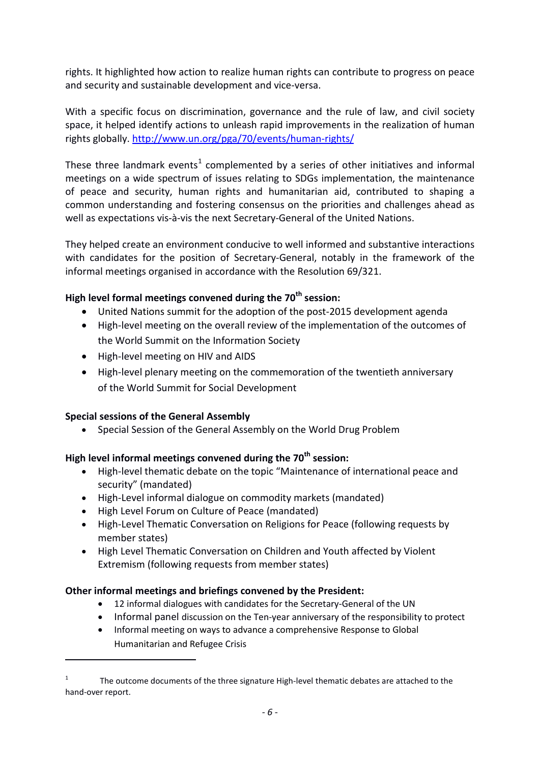rights. It highlighted how action to realize human rights can contribute to progress on peace and security and sustainable development and vice-versa.

With a specific focus on discrimination, governance and the rule of law, and civil society space, it helped identify actions to unleash rapid improvements in the realization of human rights globally.<http://www.un.org/pga/70/events/human-rights/>

These three landmark events<sup>[1](#page-2-0)</sup> complemented by a series of other initiatives and informal meetings on a wide spectrum of issues relating to SDGs implementation, the maintenance of peace and security, human rights and humanitarian aid, contributed to shaping a common understanding and fostering consensus on the priorities and challenges ahead as well as expectations vis-à-vis the next Secretary-General of the United Nations.

They helped create an environment conducive to well informed and substantive interactions with candidates for the position of Secretary-General, notably in the framework of the informal meetings organised in accordance with the Resolution 69/321.

# **High level formal meetings convened during the 70th session:**

- United Nations summit for the adoption of the post-2015 development agenda
- High-level meeting on the overall review of the implementation of the outcomes of the World Summit on the Information Society
- High-level meeting on HIV and AIDS
- High-level plenary meeting on the commemoration of the twentieth anniversary of the World Summit for Social Development

## **Special sessions of the General Assembly**

**.** 

• Special Session of the General Assembly on the World Drug Problem

# **High level informal meetings convened during the 70th session:**

- High-level thematic debate on the topic "Maintenance of international peace and security" (mandated)
- High-Level informal dialogue on commodity markets (mandated)
- High Level Forum on Culture of Peace (mandated)
- High-Level Thematic Conversation on Religions for Peace (following requests by member states)
- High Level Thematic Conversation on Children and Youth affected by Violent Extremism (following requests from member states)

## **Other informal meetings and briefings convened by the President:**

- 12 informal dialogues with candidates for the Secretary-General of the UN
- Informal panel discussion on the Ten-year anniversary of the responsibility to protect
- Informal meeting on ways to advance a comprehensive Response to Global Humanitarian and Refugee Crisis

<span id="page-7-0"></span> $1 -$ The outcome documents of the three signature High-level thematic debates are attached to the hand-over report.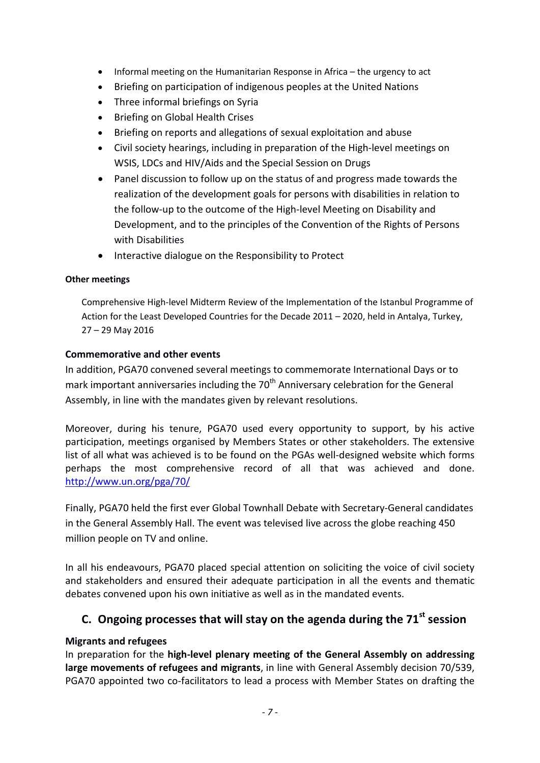- Informal meeting on the Humanitarian Response in Africa the urgency to act
- Briefing on participation of indigenous peoples at the United Nations
- Three informal briefings on Syria
- Briefing on Global Health Crises
- Briefing on reports and allegations of sexual exploitation and abuse
- Civil society hearings, including in preparation of the High-level meetings on WSIS, LDCs and HIV/Aids and the Special Session on Drugs
- Panel discussion to follow up on the status of and progress made towards the realization of the development goals for persons with disabilities in relation to the follow-up to the outcome of the High-level Meeting on Disability and Development, and to the principles of the Convention of the Rights of Persons with Disabilities
- Interactive dialogue on the Responsibility to Protect

## **Other meetings**

Comprehensive High-level Midterm Review of the Implementation of the Istanbul Programme of Action for the Least Developed Countries for the Decade 2011 – 2020, held in Antalya, Turkey, 27 – 29 May 2016

## **Commemorative and other events**

In addition, PGA70 convened several meetings to commemorate International Days or to mark important anniversaries including the  $70<sup>th</sup>$  Anniversary celebration for the General Assembly, in line with the mandates given by relevant resolutions.

Moreover, during his tenure, PGA70 used every opportunity to support, by his active participation, meetings organised by Members States or other stakeholders. The extensive list of all what was achieved is to be found on the PGAs well-designed website which forms perhaps the most comprehensive record of all that was achieved and done. <http://www.un.org/pga/70/>

Finally, PGA70 held the first ever Global Townhall Debate with Secretary-General candidates in the General Assembly Hall. The event was televised live across the globe reaching 450 million people on TV and online.

In all his endeavours, PGA70 placed special attention on soliciting the voice of civil society and stakeholders and ensured their adequate participation in all the events and thematic debates convened upon his own initiative as well as in the mandated events.

# **C. Ongoing processes that will stay on the agenda during the 71st session**

## **Migrants and refugees**

In preparation for the **high-level plenary meeting of the General Assembly on addressing large movements of refugees and migrants**, in line with General Assembly decision 70/539, PGA70 appointed two co-facilitators to lead a process with Member States on drafting the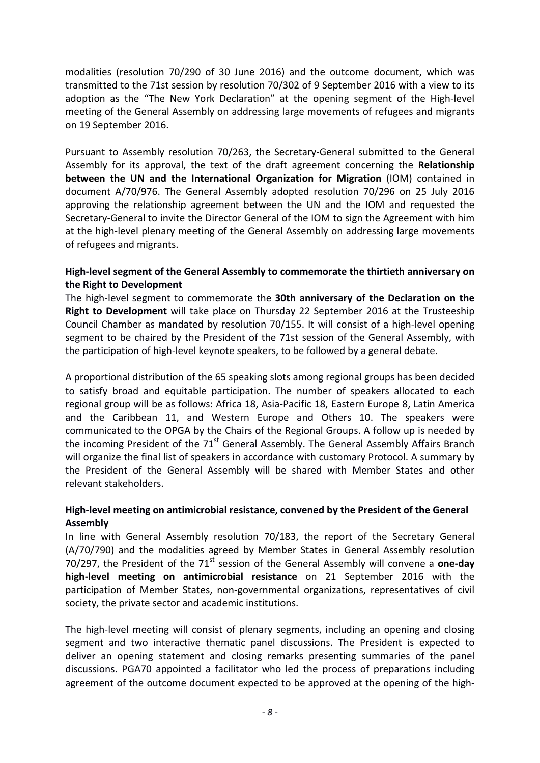modalities (resolution 70/290 of 30 June 2016) and the outcome document, which was transmitted to the 71st session by resolution 70/302 of 9 September 2016 with a view to its adoption as the "The New York Declaration" at the opening segment of the High-level meeting of the General Assembly on addressing large movements of refugees and migrants on 19 September 2016.

Pursuant to Assembly resolution 70/263, the Secretary-General submitted to the General Assembly for its approval, the text of the draft agreement concerning the **Relationship between the UN and the International Organization for Migration** (IOM) contained in document A/70/976. The General Assembly adopted resolution 70/296 on 25 July 2016 approving the relationship agreement between the UN and the IOM and requested the Secretary-General to invite the Director General of the IOM to sign the Agreement with him at the high-level plenary meeting of the General Assembly on addressing large movements of refugees and migrants.

## **High-level segment of the General Assembly to commemorate the thirtieth anniversary on the Right to Development**

The high-level segment to commemorate the **30th anniversary of the Declaration on the Right to Development** will take place on Thursday 22 September 2016 at the Trusteeship Council Chamber as mandated by resolution 70/155. It will consist of a high-level opening segment to be chaired by the President of the 71st session of the General Assembly, with the participation of high-level keynote speakers, to be followed by a general debate.

A proportional distribution of the 65 speaking slots among regional groups has been decided to satisfy broad and equitable participation. The number of speakers allocated to each regional group will be as follows: Africa 18, Asia-Pacific 18, Eastern Europe 8, Latin America and the Caribbean 11, and Western Europe and Others 10. The speakers were communicated to the OPGA by the Chairs of the Regional Groups. A follow up is needed by the incoming President of the 71<sup>st</sup> General Assembly. The General Assembly Affairs Branch will organize the final list of speakers in accordance with customary Protocol. A summary by the President of the General Assembly will be shared with Member States and other relevant stakeholders.

# **High-level meeting on antimicrobial resistance, convened by the President of the General Assembly**

In line with General Assembly resolution 70/183, the report of the Secretary General (A/70/790) and the modalities agreed by Member States in General Assembly resolution 70/297, the President of the 71<sup>st</sup> session of the General Assembly will convene a **one-day high-level meeting on antimicrobial resistance** on 21 September 2016 with the participation of Member States, non-governmental organizations, representatives of civil society, the private sector and academic institutions.

The high-level meeting will consist of plenary segments, including an opening and closing segment and two interactive thematic panel discussions. The President is expected to deliver an opening statement and closing remarks presenting summaries of the panel discussions. PGA70 appointed a facilitator who led the process of preparations including agreement of the outcome document expected to be approved at the opening of the high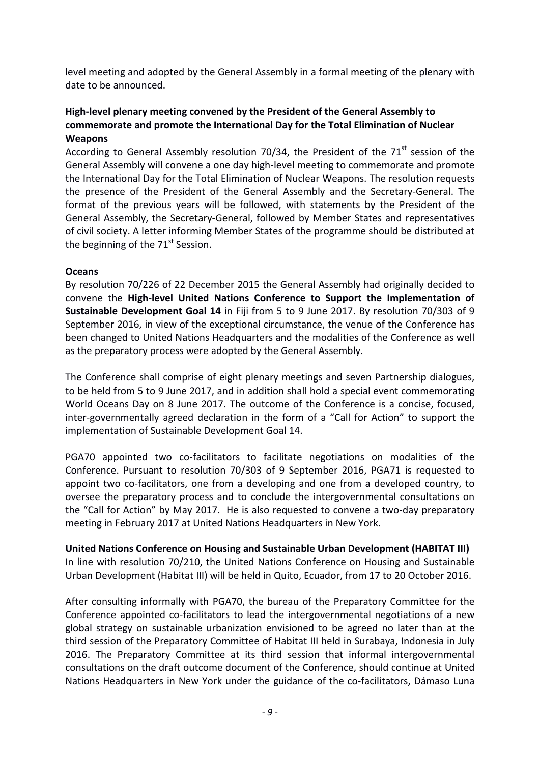level meeting and adopted by the General Assembly in a formal meeting of the plenary with date to be announced.

## **High-level plenary meeting convened by the President of the General Assembly to commemorate and promote the International Day for the Total Elimination of Nuclear Weapons**

According to General Assembly resolution 70/34, the President of the  $71<sup>st</sup>$  session of the General Assembly will convene a one day high-level meeting to commemorate and promote the International Day for the Total Elimination of Nuclear Weapons. The resolution requests the presence of the President of the General Assembly and the Secretary-General. The format of the previous years will be followed, with statements by the President of the General Assembly, the Secretary-General, followed by Member States and representatives of civil society. A letter informing Member States of the programme should be distributed at the beginning of the  $71<sup>st</sup>$  Session.

## **Oceans**

By resolution 70/226 of 22 December 2015 the General Assembly had originally decided to convene the **High-level United Nations Conference to Support the Implementation of Sustainable Development Goal 14** in Fiji from 5 to 9 June 2017. By resolution 70/303 of 9 September 2016, in view of the exceptional circumstance, the venue of the Conference has been changed to United Nations Headquarters and the modalities of the Conference as well as the preparatory process were adopted by the General Assembly.

The Conference shall comprise of eight plenary meetings and seven Partnership dialogues, to be held from 5 to 9 June 2017, and in addition shall hold a special event commemorating World Oceans Day on 8 June 2017. The outcome of the Conference is a concise, focused, inter-governmentally agreed declaration in the form of a "Call for Action" to support the implementation of Sustainable Development Goal 14.

PGA70 appointed two co-facilitators to facilitate negotiations on modalities of the Conference. Pursuant to resolution 70/303 of 9 September 2016, PGA71 is requested to appoint two co-facilitators, one from a developing and one from a developed country, to oversee the preparatory process and to conclude the intergovernmental consultations on the "Call for Action" by May 2017. He is also requested to convene a two-day preparatory meeting in February 2017 at United Nations Headquarters in New York.

**United Nations Conference on Housing and Sustainable Urban Development (HABITAT III)** In line with resolution 70/210, the United Nations Conference on Housing and Sustainable Urban Development (Habitat III) will be held in Quito, Ecuador, from 17 to 20 October 2016.

After consulting informally with PGA70, the bureau of the Preparatory Committee for the Conference appointed co-facilitators to lead the intergovernmental negotiations of a new global strategy on sustainable urbanization envisioned to be agreed no later than at the third session of the Preparatory Committee of Habitat III held in Surabaya, Indonesia in July 2016. The Preparatory Committee at its third session that informal intergovernmental consultations on the draft outcome document of the Conference, should continue at United Nations Headquarters in New York under the guidance of the co-facilitators, Dámaso Luna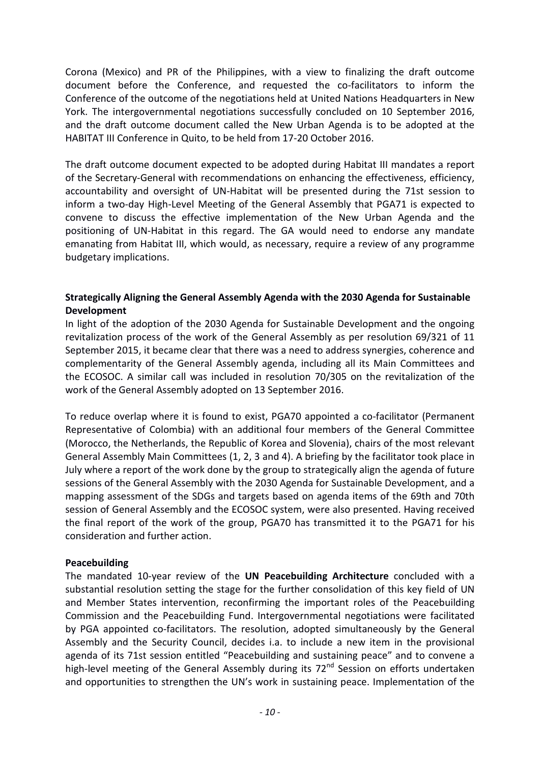Corona (Mexico) and PR of the Philippines, with a view to finalizing the draft outcome document before the Conference, and requested the co-facilitators to inform the Conference of the outcome of the negotiations held at United Nations Headquarters in New York. The intergovernmental negotiations successfully concluded on 10 September 2016, and the draft outcome document called the New Urban Agenda is to be adopted at the HABITAT III Conference in Quito, to be held from 17-20 October 2016.

The draft outcome document expected to be adopted during Habitat III mandates a report of the Secretary-General with recommendations on enhancing the effectiveness, efficiency, accountability and oversight of UN-Habitat will be presented during the 71st session to inform a two-day High-Level Meeting of the General Assembly that PGA71 is expected to convene to discuss the effective implementation of the New Urban Agenda and the positioning of UN-Habitat in this regard. The GA would need to endorse any mandate emanating from Habitat III, which would, as necessary, require a review of any programme budgetary implications.

## **Strategically Aligning the General Assembly Agenda with the 2030 Agenda for Sustainable Development**

In light of the adoption of the 2030 Agenda for Sustainable Development and the ongoing revitalization process of the work of the General Assembly as per resolution 69/321 of 11 September 2015, it became clear that there was a need to address synergies, coherence and complementarity of the General Assembly agenda, including all its Main Committees and the ECOSOC. A similar call was included in resolution 70/305 on the revitalization of the work of the General Assembly adopted on 13 September 2016.

To reduce overlap where it is found to exist, PGA70 appointed a co-facilitator (Permanent Representative of Colombia) with an additional four members of the General Committee (Morocco, the Netherlands, the Republic of Korea and Slovenia), chairs of the most relevant General Assembly Main Committees (1, 2, 3 and 4). A briefing by the facilitator took place in July where a report of the work done by the group to strategically align the agenda of future sessions of the General Assembly with the 2030 Agenda for Sustainable Development, and a mapping assessment of the SDGs and targets based on agenda items of the 69th and 70th session of General Assembly and the ECOSOC system, were also presented. Having received the final report of the work of the group, PGA70 has transmitted it to the PGA71 for his consideration and further action.

## **Peacebuilding**

The mandated 10-year review of the **UN Peacebuilding Architecture** concluded with a substantial resolution setting the stage for the further consolidation of this key field of UN and Member States intervention, reconfirming the important roles of the Peacebuilding Commission and the Peacebuilding Fund. Intergovernmental negotiations were facilitated by PGA appointed co-facilitators. The resolution, adopted simultaneously by the General Assembly and the Security Council, decides i.a. to include a new item in the provisional agenda of its 71st session entitled "Peacebuilding and sustaining peace" and to convene a high-level meeting of the General Assembly during its 72<sup>nd</sup> Session on efforts undertaken and opportunities to strengthen the UN's work in sustaining peace. Implementation of the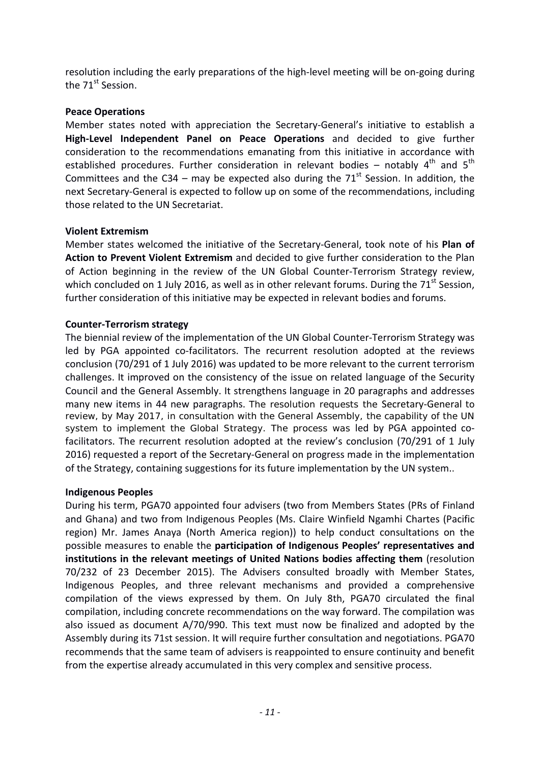resolution including the early preparations of the high-level meeting will be on-going during the 71<sup>st</sup> Session.

## **Peace Operations**

Member states noted with appreciation the Secretary-General's initiative to establish a **High-Level Independent Panel on Peace Operations** and decided to give further consideration to the recommendations emanating from this initiative in accordance with established procedures. Further consideration in relevant bodies – notably  $4<sup>th</sup>$  and  $5<sup>th</sup>$ Committees and the C34 – may be expected also during the  $71<sup>st</sup>$  Session. In addition, the next Secretary-General is expected to follow up on some of the recommendations, including those related to the UN Secretariat.

## **Violent Extremism**

Member states welcomed the initiative of the Secretary-General, took note of his **Plan of Action to Prevent Violent Extremism** and decided to give further consideration to the Plan of Action beginning in the review of the UN Global Counter-Terrorism Strategy review, which concluded on 1 July 2016, as well as in other relevant forums. During the  $71<sup>st</sup>$  Session, further consideration of this initiative may be expected in relevant bodies and forums.

## **Counter-Terrorism strategy**

The biennial review of the implementation of the UN Global Counter-Terrorism Strategy was led by PGA appointed co-facilitators. The recurrent resolution adopted at the reviews conclusion (70/291 of 1 July 2016) was updated to be more relevant to the current terrorism challenges. It improved on the consistency of the issue on related language of the Security Council and the General Assembly. It strengthens language in 20 paragraphs and addresses many new items in 44 new paragraphs. The resolution requests the Secretary-General to review, by May 2017, in consultation with the General Assembly, the capability of the UN system to implement the Global Strategy. The process was led by PGA appointed cofacilitators. The recurrent resolution adopted at the review's conclusion (70/291 of 1 July 2016) requested a report of the Secretary-General on progress made in the implementation of the Strategy, containing suggestions for its future implementation by the UN system..

## **Indigenous Peoples**

During his term, PGA70 appointed four advisers (two from Members States (PRs of Finland and Ghana) and two from Indigenous Peoples (Ms. Claire Winfield Ngamhi Chartes (Pacific region) Mr. James Anaya (North America region)) to help conduct consultations on the possible measures to enable the **participation of Indigenous Peoples' representatives and institutions in the relevant meetings of United Nations bodies affecting them** (resolution 70/232 of 23 December 2015). The Advisers consulted broadly with Member States, Indigenous Peoples, and three relevant mechanisms and provided a comprehensive compilation of the views expressed by them. On July 8th, PGA70 circulated the final compilation, including concrete recommendations on the way forward. The compilation was also issued as document A/70/990. This text must now be finalized and adopted by the Assembly during its 71st session. It will require further consultation and negotiations. PGA70 recommends that the same team of advisers is reappointed to ensure continuity and benefit from the expertise already accumulated in this very complex and sensitive process.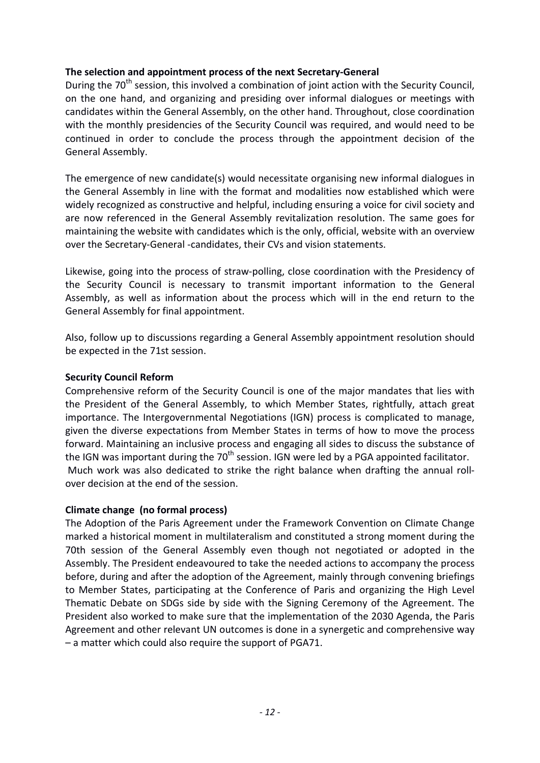## **The selection and appointment process of the next Secretary-General**

During the 70<sup>th</sup> session, this involved a combination of joint action with the Security Council, on the one hand, and organizing and presiding over informal dialogues or meetings with candidates within the General Assembly, on the other hand. Throughout, close coordination with the monthly presidencies of the Security Council was required, and would need to be continued in order to conclude the process through the appointment decision of the General Assembly.

The emergence of new candidate(s) would necessitate organising new informal dialogues in the General Assembly in line with the format and modalities now established which were widely recognized as constructive and helpful, including ensuring a voice for civil society and are now referenced in the General Assembly revitalization resolution. The same goes for maintaining the website with candidates which is the only, official, website with an overview over the Secretary-General -candidates, their CVs and vision statements.

Likewise, going into the process of straw-polling, close coordination with the Presidency of the Security Council is necessary to transmit important information to the General Assembly, as well as information about the process which will in the end return to the General Assembly for final appointment.

Also, follow up to discussions regarding a General Assembly appointment resolution should be expected in the 71st session.

## **Security Council Reform**

Comprehensive reform of the Security Council is one of the major mandates that lies with the President of the General Assembly, to which Member States, rightfully, attach great importance. The Intergovernmental Negotiations (IGN) process is complicated to manage, given the diverse expectations from Member States in terms of how to move the process forward. Maintaining an inclusive process and engaging all sides to discuss the substance of the IGN was important during the  $70<sup>th</sup>$  session. IGN were led by a PGA appointed facilitator. Much work was also dedicated to strike the right balance when drafting the annual rollover decision at the end of the session.

## **Climate change (no formal process)**

The Adoption of the Paris Agreement under the Framework Convention on Climate Change marked a historical moment in multilateralism and constituted a strong moment during the 70th session of the General Assembly even though not negotiated or adopted in the Assembly. The President endeavoured to take the needed actions to accompany the process before, during and after the adoption of the Agreement, mainly through convening briefings to Member States, participating at the Conference of Paris and organizing the High Level Thematic Debate on SDGs side by side with the Signing Ceremony of the Agreement. The President also worked to make sure that the implementation of the 2030 Agenda, the Paris Agreement and other relevant UN outcomes is done in a synergetic and comprehensive way – a matter which could also require the support of PGA71.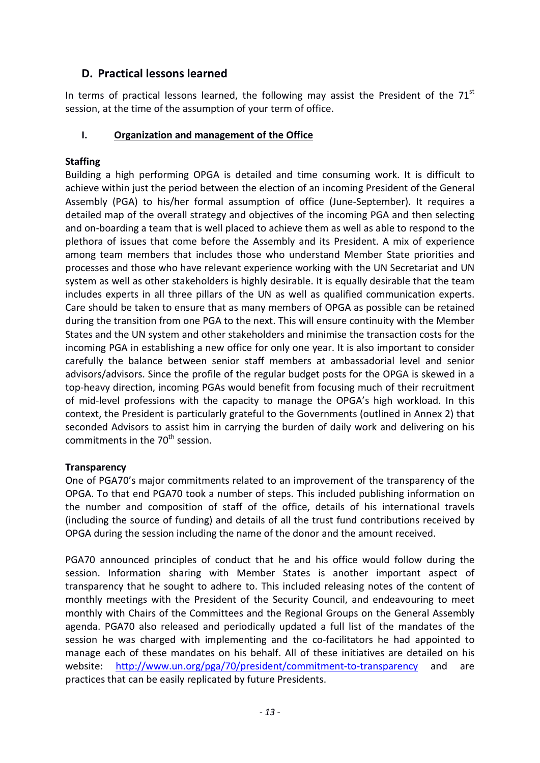# **D. Practical lessons learned**

In terms of practical lessons learned, the following may assist the President of the  $71<sup>st</sup>$ session, at the time of the assumption of your term of office.

# **I. Organization and management of the Office**

# **Staffing**

Building a high performing OPGA is detailed and time consuming work. It is difficult to achieve within just the period between the election of an incoming President of the General Assembly (PGA) to his/her formal assumption of office (June-September). It requires a detailed map of the overall strategy and objectives of the incoming PGA and then selecting and on-boarding a team that is well placed to achieve them as well as able to respond to the plethora of issues that come before the Assembly and its President. A mix of experience among team members that includes those who understand Member State priorities and processes and those who have relevant experience working with the UN Secretariat and UN system as well as other stakeholders is highly desirable. It is equally desirable that the team includes experts in all three pillars of the UN as well as qualified communication experts. Care should be taken to ensure that as many members of OPGA as possible can be retained during the transition from one PGA to the next. This will ensure continuity with the Member States and the UN system and other stakeholders and minimise the transaction costs for the incoming PGA in establishing a new office for only one year. It is also important to consider carefully the balance between senior staff members at ambassadorial level and senior advisors/advisors. Since the profile of the regular budget posts for the OPGA is skewed in a top-heavy direction, incoming PGAs would benefit from focusing much of their recruitment of mid-level professions with the capacity to manage the OPGA's high workload. In this context, the President is particularly grateful to the Governments (outlined in Annex 2) that seconded Advisors to assist him in carrying the burden of daily work and delivering on his commitments in the  $70<sup>th</sup>$  session.

## **Transparency**

One of PGA70's major commitments related to an improvement of the transparency of the OPGA. To that end PGA70 took a number of steps. This included publishing information on the number and composition of staff of the office, details of his international travels (including the source of funding) and details of all the trust fund contributions received by OPGA during the session including the name of the donor and the amount received.

PGA70 announced principles of conduct that he and his office would follow during the session. Information sharing with Member States is another important aspect of transparency that he sought to adhere to. This included releasing notes of the content of monthly meetings with the President of the Security Council, and endeavouring to meet monthly with Chairs of the Committees and the Regional Groups on the General Assembly agenda. PGA70 also released and periodically updated a full list of the mandates of the session he was charged with implementing and the co-facilitators he had appointed to manage each of these mandates on his behalf. All of these initiatives are detailed on his website: <http://www.un.org/pga/70/president/commitment-to-transparency> and are practices that can be easily replicated by future Presidents.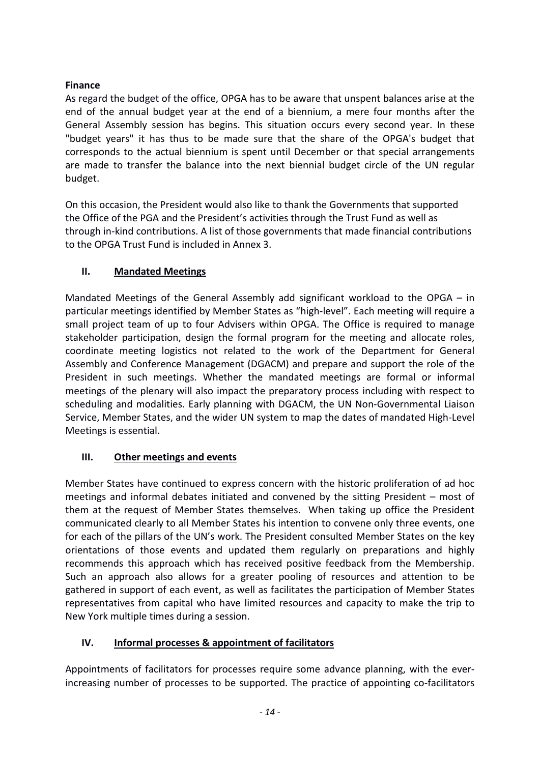# **Finance**

As regard the budget of the office, OPGA has to be aware that unspent balances arise at the end of the annual budget year at the end of a biennium, a mere four months after the General Assembly session has begins. This situation occurs every second year. In these "budget years" it has thus to be made sure that the share of the OPGA's budget that corresponds to the actual biennium is spent until December or that special arrangements are made to transfer the balance into the next biennial budget circle of the UN regular budget.

On this occasion, the President would also like to thank the Governments that supported the Office of the PGA and the President's activities through the Trust Fund as well as through in-kind contributions. A list of those governments that made financial contributions to the OPGA Trust Fund is included in Annex 3.

# **II. Mandated Meetings**

Mandated Meetings of the General Assembly add significant workload to the OPGA – in particular meetings identified by Member States as "high-level". Each meeting will require a small project team of up to four Advisers within OPGA. The Office is required to manage stakeholder participation, design the formal program for the meeting and allocate roles, coordinate meeting logistics not related to the work of the Department for General Assembly and Conference Management (DGACM) and prepare and support the role of the President in such meetings. Whether the mandated meetings are formal or informal meetings of the plenary will also impact the preparatory process including with respect to scheduling and modalities. Early planning with DGACM, the UN Non-Governmental Liaison Service, Member States, and the wider UN system to map the dates of mandated High-Level Meetings is essential.

# **III. Other meetings and events**

Member States have continued to express concern with the historic proliferation of ad hoc meetings and informal debates initiated and convened by the sitting President – most of them at the request of Member States themselves. When taking up office the President communicated clearly to all Member States his intention to convene only three events, one for each of the pillars of the UN's work. The President consulted Member States on the key orientations of those events and updated them regularly on preparations and highly recommends this approach which has received positive feedback from the Membership. Such an approach also allows for a greater pooling of resources and attention to be gathered in support of each event, as well as facilitates the participation of Member States representatives from capital who have limited resources and capacity to make the trip to New York multiple times during a session.

# **IV. Informal processes & appointment of facilitators**

Appointments of facilitators for processes require some advance planning, with the everincreasing number of processes to be supported. The practice of appointing co-facilitators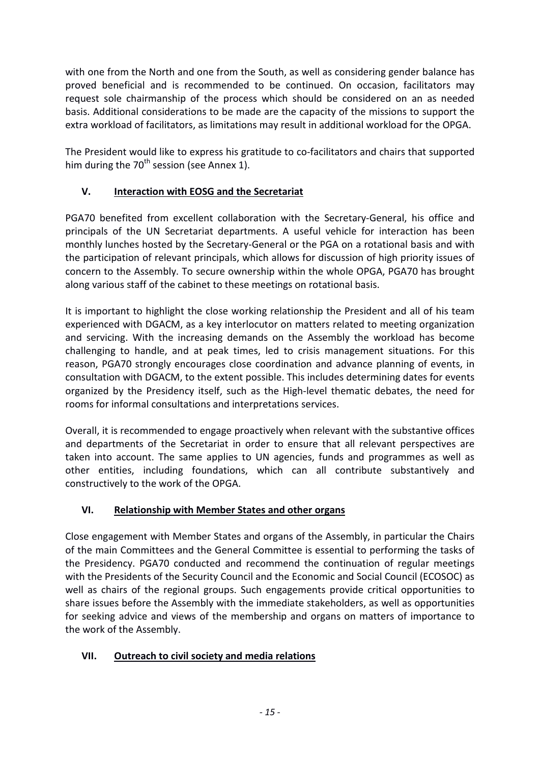with one from the North and one from the South, as well as considering gender balance has proved beneficial and is recommended to be continued. On occasion, facilitators may request sole chairmanship of the process which should be considered on an as needed basis. Additional considerations to be made are the capacity of the missions to support the extra workload of facilitators, as limitations may result in additional workload for the OPGA.

The President would like to express his gratitude to co-facilitators and chairs that supported him during the  $70^{th}$  session (see Annex 1).

# **V. Interaction with EOSG and the Secretariat**

PGA70 benefited from excellent collaboration with the Secretary-General, his office and principals of the UN Secretariat departments. A useful vehicle for interaction has been monthly lunches hosted by the Secretary-General or the PGA on a rotational basis and with the participation of relevant principals, which allows for discussion of high priority issues of concern to the Assembly. To secure ownership within the whole OPGA, PGA70 has brought along various staff of the cabinet to these meetings on rotational basis.

It is important to highlight the close working relationship the President and all of his team experienced with DGACM, as a key interlocutor on matters related to meeting organization and servicing. With the increasing demands on the Assembly the workload has become challenging to handle, and at peak times, led to crisis management situations. For this reason, PGA70 strongly encourages close coordination and advance planning of events, in consultation with DGACM, to the extent possible. This includes determining dates for events organized by the Presidency itself, such as the High-level thematic debates, the need for rooms for informal consultations and interpretations services.

Overall, it is recommended to engage proactively when relevant with the substantive offices and departments of the Secretariat in order to ensure that all relevant perspectives are taken into account. The same applies to UN agencies, funds and programmes as well as other entities, including foundations, which can all contribute substantively and constructively to the work of the OPGA.

# **VI. Relationship with Member States and other organs**

Close engagement with Member States and organs of the Assembly, in particular the Chairs of the main Committees and the General Committee is essential to performing the tasks of the Presidency. PGA70 conducted and recommend the continuation of regular meetings with the Presidents of the Security Council and the Economic and Social Council (ECOSOC) as well as chairs of the regional groups. Such engagements provide critical opportunities to share issues before the Assembly with the immediate stakeholders, as well as opportunities for seeking advice and views of the membership and organs on matters of importance to the work of the Assembly.

# **VII. Outreach to civil society and media relations**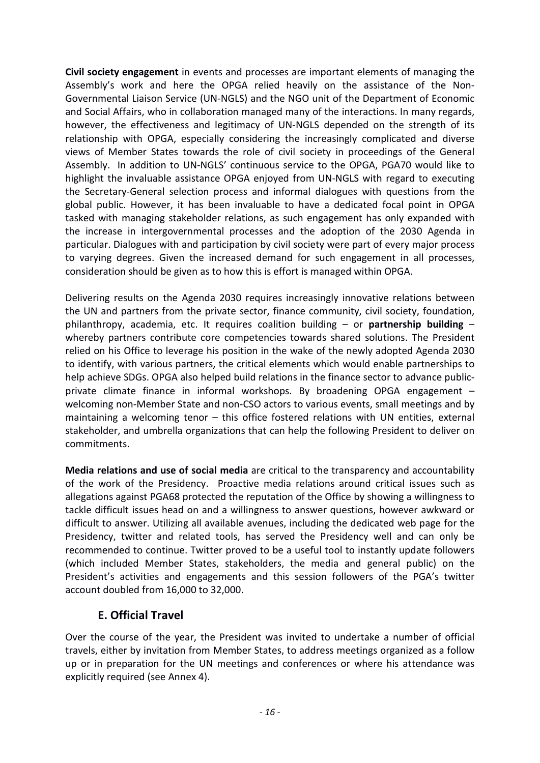**Civil society engagement** in events and processes are important elements of managing the Assembly's work and here the OPGA relied heavily on the assistance of the Non-Governmental Liaison Service (UN-NGLS) and the NGO unit of the Department of Economic and Social Affairs, who in collaboration managed many of the interactions. In many regards, however, the effectiveness and legitimacy of UN-NGLS depended on the strength of its relationship with OPGA, especially considering the increasingly complicated and diverse views of Member States towards the role of civil society in proceedings of the General Assembly. In addition to UN-NGLS' continuous service to the OPGA, PGA70 would like to highlight the invaluable assistance OPGA enjoyed from UN-NGLS with regard to executing the Secretary-General selection process and informal dialogues with questions from the global public. However, it has been invaluable to have a dedicated focal point in OPGA tasked with managing stakeholder relations, as such engagement has only expanded with the increase in intergovernmental processes and the adoption of the 2030 Agenda in particular. Dialogues with and participation by civil society were part of every major process to varying degrees. Given the increased demand for such engagement in all processes, consideration should be given as to how this is effort is managed within OPGA.

Delivering results on the Agenda 2030 requires increasingly innovative relations between the UN and partners from the private sector, finance community, civil society, foundation, philanthropy, academia, etc. It requires coalition building – or **partnership building** – whereby partners contribute core competencies towards shared solutions. The President relied on his Office to leverage his position in the wake of the newly adopted Agenda 2030 to identify, with various partners, the critical elements which would enable partnerships to help achieve SDGs. OPGA also helped build relations in the finance sector to advance publicprivate climate finance in informal workshops. By broadening OPGA engagement – welcoming non-Member State and non-CSO actors to various events, small meetings and by maintaining a welcoming tenor – this office fostered relations with UN entities, external stakeholder, and umbrella organizations that can help the following President to deliver on commitments.

**Media relations and use of social media** are critical to the transparency and accountability of the work of the Presidency. Proactive media relations around critical issues such as allegations against PGA68 protected the reputation of the Office by showing a willingness to tackle difficult issues head on and a willingness to answer questions, however awkward or difficult to answer. Utilizing all available avenues, including the dedicated web page for the Presidency, twitter and related tools, has served the Presidency well and can only be recommended to continue. Twitter proved to be a useful tool to instantly update followers (which included Member States, stakeholders, the media and general public) on the President's activities and engagements and this session followers of the PGA's twitter account doubled from 16,000 to 32,000.

# **E. Official Travel**

Over the course of the year, the President was invited to undertake a number of official travels, either by invitation from Member States, to address meetings organized as a follow up or in preparation for the UN meetings and conferences or where his attendance was explicitly required (see Annex 4).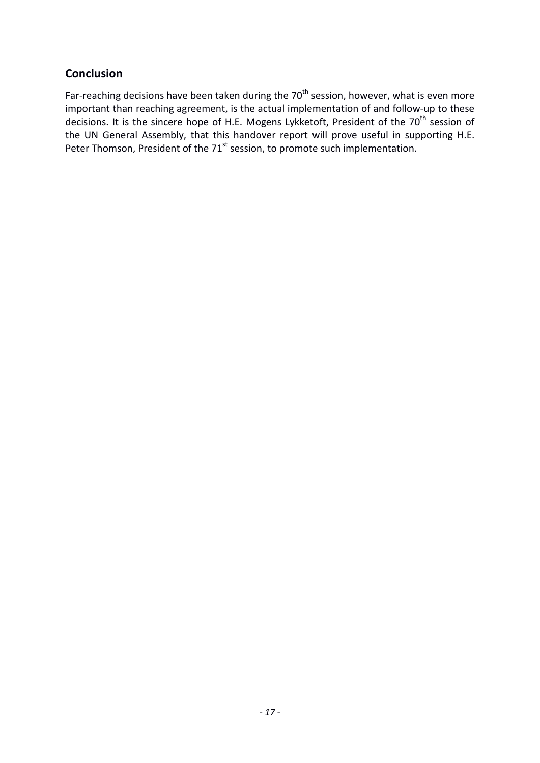# **Conclusion**

Far-reaching decisions have been taken during the  $70<sup>th</sup>$  session, however, what is even more important than reaching agreement, is the actual implementation of and follow-up to these decisions. It is the sincere hope of H.E. Mogens Lykketoft, President of the 70<sup>th</sup> session of the UN General Assembly, that this handover report will prove useful in supporting H.E. Peter Thomson, President of the 71<sup>st</sup> session, to promote such implementation.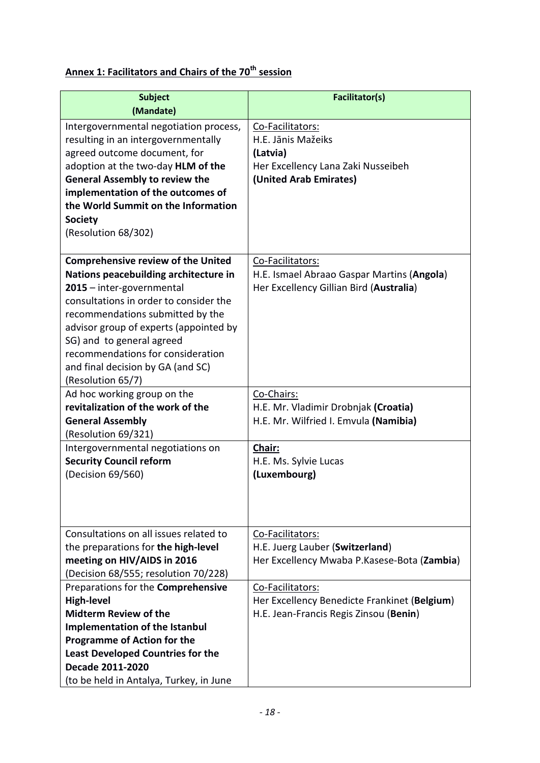# **Annex 1: Facilitators and Chairs of the 70th session**

| <b>Subject</b>                            | Facilitator(s)                               |
|-------------------------------------------|----------------------------------------------|
| (Mandate)                                 |                                              |
| Intergovernmental negotiation process,    | Co-Facilitators:                             |
| resulting in an intergovernmentally       | H.E. Jānis Mažeiks                           |
| agreed outcome document, for              | (Latvia)                                     |
| adoption at the two-day HLM of the        | Her Excellency Lana Zaki Nusseibeh           |
| <b>General Assembly to review the</b>     | (United Arab Emirates)                       |
| implementation of the outcomes of         |                                              |
| the World Summit on the Information       |                                              |
| <b>Society</b>                            |                                              |
| (Resolution 68/302)                       |                                              |
|                                           |                                              |
| <b>Comprehensive review of the United</b> | Co-Facilitators:                             |
| Nations peacebuilding architecture in     | H.E. Ismael Abraao Gaspar Martins (Angola)   |
| 2015 - inter-governmental                 | Her Excellency Gillian Bird (Australia)      |
| consultations in order to consider the    |                                              |
| recommendations submitted by the          |                                              |
| advisor group of experts (appointed by    |                                              |
| SG) and to general agreed                 |                                              |
| recommendations for consideration         |                                              |
| and final decision by GA (and SC)         |                                              |
| (Resolution 65/7)                         |                                              |
| Ad hoc working group on the               | Co-Chairs:                                   |
| revitalization of the work of the         | H.E. Mr. Vladimir Drobnjak (Croatia)         |
| <b>General Assembly</b>                   | H.E. Mr. Wilfried I. Emvula (Namibia)        |
| (Resolution 69/321)                       |                                              |
| Intergovernmental negotiations on         | Chair:                                       |
| <b>Security Council reform</b>            | H.E. Ms. Sylvie Lucas                        |
| (Decision 69/560)                         | (Luxembourg)                                 |
|                                           |                                              |
|                                           |                                              |
|                                           |                                              |
| Consultations on all issues related to    | Co-Facilitators:                             |
| the preparations for the high-level       | H.E. Juerg Lauber (Switzerland)              |
| meeting on HIV/AIDS in 2016               | Her Excellency Mwaba P.Kasese-Bota (Zambia)  |
| (Decision 68/555; resolution 70/228)      |                                              |
| Preparations for the Comprehensive        | Co-Facilitators:                             |
| <b>High-level</b>                         | Her Excellency Benedicte Frankinet (Belgium) |
| <b>Midterm Review of the</b>              | H.E. Jean-Francis Regis Zinsou (Benin)       |
| <b>Implementation of the Istanbul</b>     |                                              |
| <b>Programme of Action for the</b>        |                                              |
| <b>Least Developed Countries for the</b>  |                                              |
| Decade 2011-2020                          |                                              |
| (to be held in Antalya, Turkey, in June   |                                              |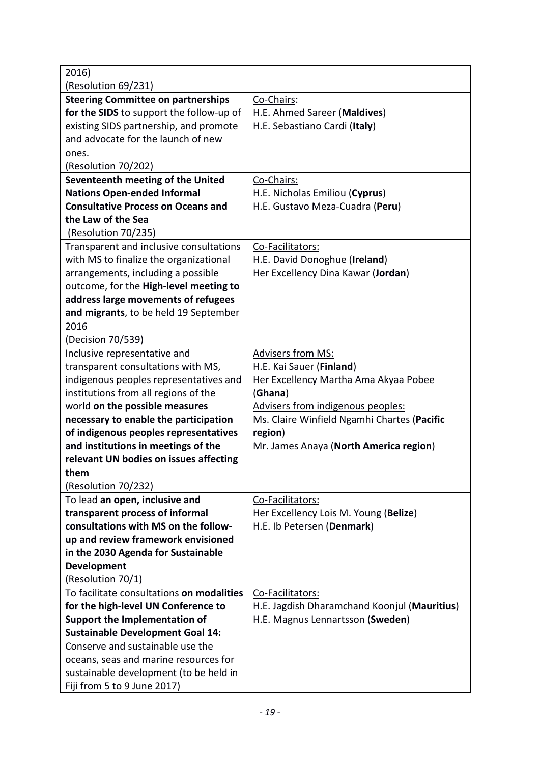| 2016)                                                                   |                                                                                  |
|-------------------------------------------------------------------------|----------------------------------------------------------------------------------|
| (Resolution 69/231)                                                     |                                                                                  |
| <b>Steering Committee on partnerships</b>                               | Co-Chairs:                                                                       |
| for the SIDS to support the follow-up of                                | H.E. Ahmed Sareer (Maldives)                                                     |
| existing SIDS partnership, and promote                                  | H.E. Sebastiano Cardi (Italy)                                                    |
| and advocate for the launch of new                                      |                                                                                  |
| ones.                                                                   |                                                                                  |
| (Resolution 70/202)                                                     |                                                                                  |
| Seventeenth meeting of the United                                       | Co-Chairs:                                                                       |
| <b>Nations Open-ended Informal</b>                                      | H.E. Nicholas Emiliou (Cyprus)                                                   |
| <b>Consultative Process on Oceans and</b>                               | H.E. Gustavo Meza-Cuadra (Peru)                                                  |
| the Law of the Sea                                                      |                                                                                  |
| (Resolution 70/235)                                                     |                                                                                  |
| Transparent and inclusive consultations                                 | Co-Facilitators:                                                                 |
| with MS to finalize the organizational                                  | H.E. David Donoghue (Ireland)                                                    |
| arrangements, including a possible                                      | Her Excellency Dina Kawar (Jordan)                                               |
| outcome, for the High-level meeting to                                  |                                                                                  |
| address large movements of refugees                                     |                                                                                  |
| and migrants, to be held 19 September                                   |                                                                                  |
| 2016                                                                    |                                                                                  |
| (Decision 70/539)                                                       |                                                                                  |
| Inclusive representative and                                            | <b>Advisers from MS:</b>                                                         |
| transparent consultations with MS,                                      | H.E. Kai Sauer (Finland)                                                         |
| indigenous peoples representatives and                                  | Her Excellency Martha Ama Akyaa Pobee                                            |
| institutions from all regions of the                                    | (Ghana)                                                                          |
| world on the possible measures<br>necessary to enable the participation | Advisers from indigenous peoples:<br>Ms. Claire Winfield Ngamhi Chartes (Pacific |
| of indigenous peoples representatives                                   | region)                                                                          |
| and institutions in meetings of the                                     | Mr. James Anaya (North America region)                                           |
| relevant UN bodies on issues affecting                                  |                                                                                  |
| them                                                                    |                                                                                  |
| (Resolution 70/232)                                                     |                                                                                  |
| To lead an open, inclusive and                                          | Co-Facilitators:                                                                 |
| transparent process of informal                                         | Her Excellency Lois M. Young (Belize)                                            |
| consultations with MS on the follow-                                    | H.E. Ib Petersen (Denmark)                                                       |
| up and review framework envisioned                                      |                                                                                  |
| in the 2030 Agenda for Sustainable                                      |                                                                                  |
| Development                                                             |                                                                                  |
| (Resolution 70/1)                                                       |                                                                                  |
| To facilitate consultations on modalities                               | Co-Facilitators:                                                                 |
| for the high-level UN Conference to                                     | H.E. Jagdish Dharamchand Koonjul (Mauritius)                                     |
| <b>Support the Implementation of</b>                                    | H.E. Magnus Lennartsson (Sweden)                                                 |
| <b>Sustainable Development Goal 14:</b>                                 |                                                                                  |
| Conserve and sustainable use the                                        |                                                                                  |
| oceans, seas and marine resources for                                   |                                                                                  |
| sustainable development (to be held in                                  |                                                                                  |
| Fiji from 5 to 9 June 2017)                                             |                                                                                  |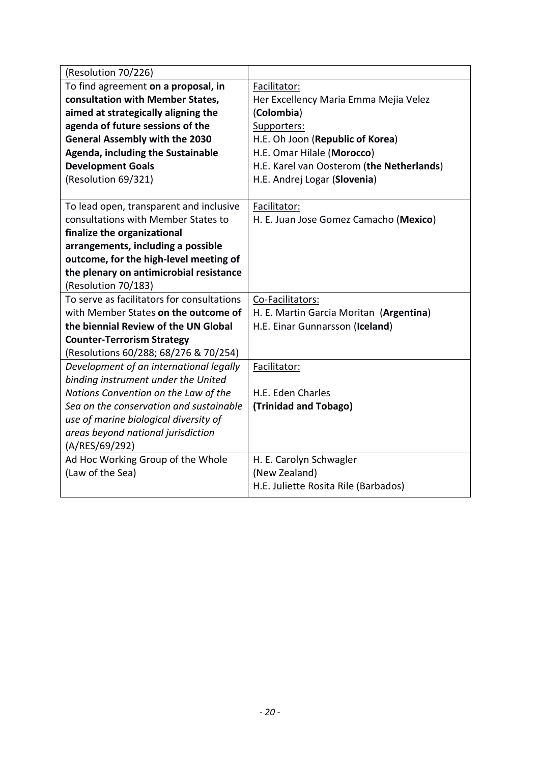| (Resolution 70/226)                        |                                           |
|--------------------------------------------|-------------------------------------------|
| To find agreement on a proposal, in        | Facilitator:                              |
| consultation with Member States,           | Her Excellency Maria Emma Mejia Velez     |
| aimed at strategically aligning the        | (Colombia)                                |
| agenda of future sessions of the           | Supporters:                               |
| <b>General Assembly with the 2030</b>      | H.E. Oh Joon (Republic of Korea)          |
| <b>Agenda, including the Sustainable</b>   | H.E. Omar Hilale (Morocco)                |
| <b>Development Goals</b>                   | H.E. Karel van Oosterom (the Netherlands) |
| (Resolution 69/321)                        | H.E. Andrej Logar (Slovenia)              |
|                                            |                                           |
| To lead open, transparent and inclusive    | Facilitator:                              |
| consultations with Member States to        | H. E. Juan Jose Gomez Camacho (Mexico)    |
| finalize the organizational                |                                           |
| arrangements, including a possible         |                                           |
| outcome, for the high-level meeting of     |                                           |
| the plenary on antimicrobial resistance    |                                           |
| (Resolution 70/183)                        |                                           |
| To serve as facilitators for consultations | Co-Facilitators:                          |
| with Member States on the outcome of       | H. E. Martin Garcia Moritan (Argentina)   |
| the biennial Review of the UN Global       | H.E. Einar Gunnarsson (Iceland)           |
| <b>Counter-Terrorism Strategy</b>          |                                           |
| (Resolutions 60/288; 68/276 & 70/254)      |                                           |
| Development of an international legally    | Facilitator:                              |
| binding instrument under the United        |                                           |
| Nations Convention on the Law of the       | H.E. Eden Charles                         |
| Sea on the conservation and sustainable    | (Trinidad and Tobago)                     |
| use of marine biological diversity of      |                                           |
| areas beyond national jurisdiction         |                                           |
| (A/RES/69/292)                             |                                           |
| Ad Hoc Working Group of the Whole          | H. E. Carolyn Schwagler                   |
| (Law of the Sea)                           | (New Zealand)                             |
|                                            | H.E. Juliette Rosita Rile (Barbados)      |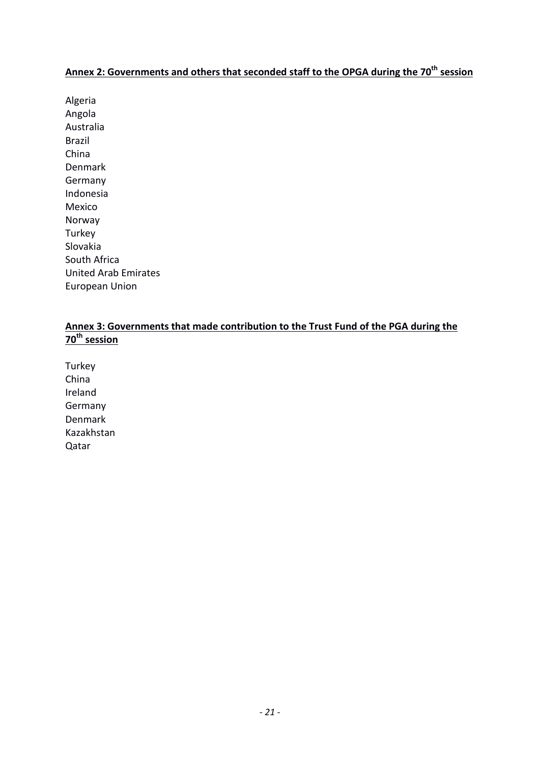# **Annex 2: Governments and others that seconded staff to the OPGA during the 70th session**

Algeria Angola Australia Brazil China Denmark Germany Indonesia Mexico Norway **Turkey** Slovakia South Africa United Arab Emirates European Union

# **Annex 3: Governments that made contribution to the Trust Fund of the PGA during the 70th session**

**Turkey** China Ireland Germany Denmark Kazakhstan Qatar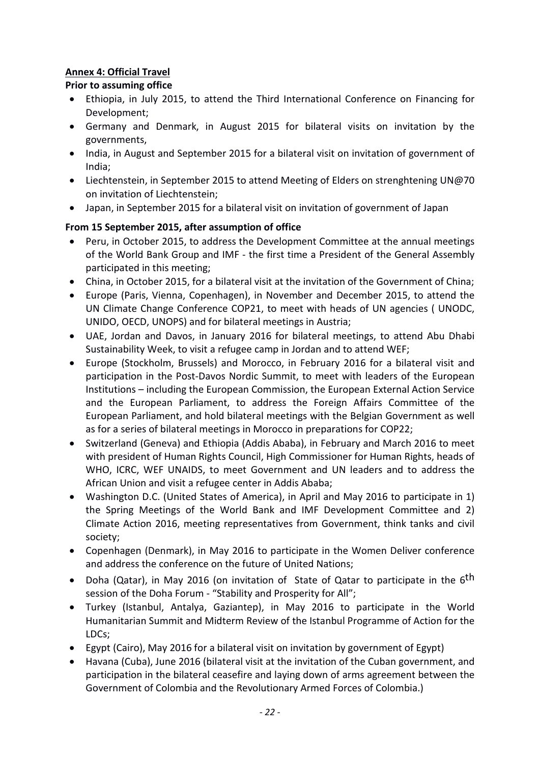# **Annex 4: Official Travel**

# **Prior to assuming office**

- Ethiopia, in July 2015, to attend the Third International Conference on Financing for Development;
- Germany and Denmark, in August 2015 for bilateral visits on invitation by the governments,
- India, in August and September 2015 for a bilateral visit on invitation of government of India;
- Liechtenstein, in September 2015 to attend Meeting of Elders on strenghtening UN@70 on invitation of Liechtenstein;
- Japan, in September 2015 for a bilateral visit on invitation of government of Japan

# **From 15 September 2015, after assumption of office**

- Peru, in October 2015, to address the Development Committee at the annual meetings of the World Bank Group and IMF - the first time a President of the General Assembly participated in this meeting;
- China, in October 2015, for a bilateral visit at the invitation of the Government of China;
- Europe (Paris, Vienna, Copenhagen), in November and December 2015, to attend the UN Climate Change Conference COP21, to meet with heads of UN agencies ( UNODC, UNIDO, OECD, UNOPS) and for bilateral meetings in Austria;
- UAE, Jordan and Davos, in January 2016 for bilateral meetings, to attend Abu Dhabi Sustainability Week, to visit a refugee camp in Jordan and to attend WEF;
- Europe (Stockholm, Brussels) and Morocco, in February 2016 for a bilateral visit and participation in the Post-Davos Nordic Summit, to meet with leaders of the European Institutions – including the European Commission, the European External Action Service and the European Parliament, to address the Foreign Affairs Committee of the European Parliament, and hold bilateral meetings with the Belgian Government as well as for a series of bilateral meetings in Morocco in preparations for COP22;
- Switzerland (Geneva) and Ethiopia (Addis Ababa), in February and March 2016 to meet with president of Human Rights Council, High Commissioner for Human Rights, heads of WHO, ICRC, WEF UNAIDS, to meet Government and UN leaders and to address the African Union and visit a refugee center in Addis Ababa;
- Washington D.C. (United States of America), in April and May 2016 to participate in 1) the Spring Meetings of the World Bank and IMF Development Committee and 2) Climate Action 2016, meeting representatives from Government, think tanks and civil society;
- Copenhagen (Denmark), in May 2016 to participate in the Women Deliver conference and address the conference on the future of United Nations;
- Doha (Qatar), in May 2016 (on invitation of State of Qatar to participate in the  $6<sup>th</sup>$ session of the Doha Forum - "Stability and Prosperity for All";
- Turkey (Istanbul, Antalya, Gaziantep), in May 2016 to participate in the World Humanitarian Summit and Midterm Review of the Istanbul Programme of Action for the LDCs;
- Egypt (Cairo), May 2016 for a bilateral visit on invitation by government of Egypt)
- Havana (Cuba), June 2016 (bilateral visit at the invitation of the Cuban government, and participation in the bilateral ceasefire and laying down of arms agreement between the Government of Colombia and the Revolutionary Armed Forces of Colombia.)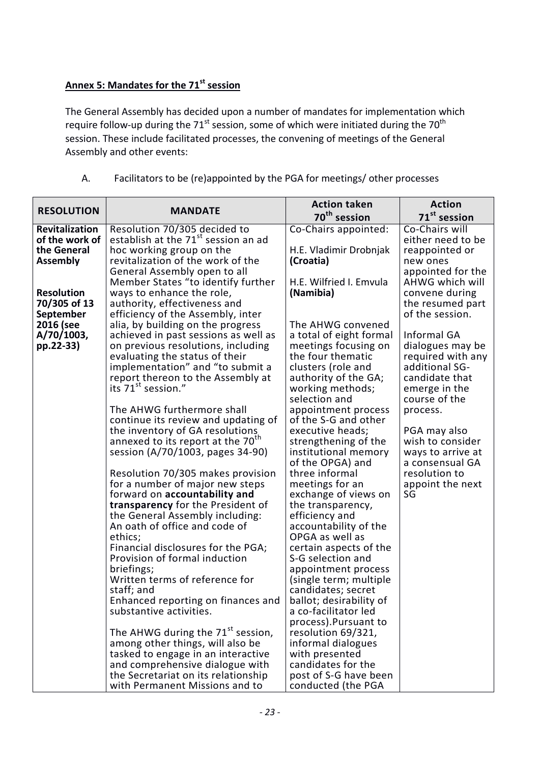# **Annex 5: Mandates for the 71st session**

The General Assembly has decided upon a number of mandates for implementation which require follow-up during the 71 $\mathrm{^{st}}$  session, some of which were initiated during the 70 $\mathrm{^{th}}$ session. These include facilitated processes, the convening of meetings of the General Assembly and other events:

| <b>RESOLUTION</b><br><b>MANDATE</b><br>70 <sup>th</sup> session<br>71 <sup>st</sup> session<br>Resolution 70/305 decided to<br>Co-Chairs appointed:<br>Revitalization<br>Co-Chairs will |  |
|-----------------------------------------------------------------------------------------------------------------------------------------------------------------------------------------|--|
|                                                                                                                                                                                         |  |
|                                                                                                                                                                                         |  |
| establish at the 71 <sup>st</sup> session an ad<br>of the work of<br>either need to be                                                                                                  |  |
| hoc working group on the<br>the General<br>H.E. Vladimir Drobnjak<br>reappointed or<br>new ones                                                                                         |  |
| <b>Assembly</b><br>revitalization of the work of the<br>(Croatia)<br>General Assembly open to all<br>appointed for the                                                                  |  |
| H.E. Wilfried I. Emvula<br>Member States "to identify further<br>AHWG which will                                                                                                        |  |
| <b>Resolution</b><br>ways to enhance the role,<br>(Namibia)<br>convene during                                                                                                           |  |
| 70/305 of 13<br>authority, effectiveness and<br>the resumed part                                                                                                                        |  |
| September<br>of the session.<br>efficiency of the Assembly, inter                                                                                                                       |  |
| 2016 (see<br>alia, by building on the progress<br>The AHWG convened                                                                                                                     |  |
| A/70/1003,<br>achieved in past sessions as well as<br>a total of eight formal<br>Informal GA                                                                                            |  |
| pp.22-33)<br>on previous resolutions, including<br>meetings focusing on<br>dialogues may be                                                                                             |  |
| evaluating the status of their<br>the four thematic<br>required with any                                                                                                                |  |
| implementation" and "to submit a<br>clusters (role and<br>additional SG-                                                                                                                |  |
| report thereon to the Assembly at<br>authority of the GA;<br>candidate that                                                                                                             |  |
| its 71 <sup>st</sup> session."<br>working methods;<br>emerge in the<br>selection and<br>course of the                                                                                   |  |
| The AHWG furthermore shall<br>appointment process<br>process.                                                                                                                           |  |
| continue its review and updating of<br>of the S-G and other                                                                                                                             |  |
| the inventory of GA resolutions<br>executive heads;<br>PGA may also                                                                                                                     |  |
| annexed to its report at the 70 <sup>th</sup><br>strengthening of the<br>wish to consider                                                                                               |  |
| session (A/70/1003, pages 34-90)<br>institutional memory<br>ways to arrive at                                                                                                           |  |
| of the OPGA) and<br>a consensual GA                                                                                                                                                     |  |
| Resolution 70/305 makes provision<br>three informal<br>resolution to                                                                                                                    |  |
| for a number of major new steps<br>meetings for an<br>appoint the next                                                                                                                  |  |
| forward on accountability and<br>exchange of views on<br>SG                                                                                                                             |  |
| transparency for the President of<br>the transparency,                                                                                                                                  |  |
| efficiency and<br>the General Assembly including:                                                                                                                                       |  |
| An oath of office and code of<br>accountability of the<br>ethics;<br>OPGA as well as                                                                                                    |  |
| Financial disclosures for the PGA;<br>certain aspects of the                                                                                                                            |  |
| Provision of formal induction<br>S-G selection and                                                                                                                                      |  |
| briefings;<br>appointment process                                                                                                                                                       |  |
| Written terms of reference for<br>(single term; multiple                                                                                                                                |  |
| staff; and<br>candidates; secret                                                                                                                                                        |  |
| Enhanced reporting on finances and<br>ballot; desirability of                                                                                                                           |  |
| a co-facilitator led<br>substantive activities.                                                                                                                                         |  |
| process).Pursuant to                                                                                                                                                                    |  |
| The AHWG during the 71 <sup>st</sup> session,<br>resolution 69/321,                                                                                                                     |  |
| among other things, will also be<br>informal dialogues                                                                                                                                  |  |
| tasked to engage in an interactive<br>with presented                                                                                                                                    |  |
| and comprehensive dialogue with<br>candidates for the<br>post of S-G have been                                                                                                          |  |
| the Secretariat on its relationship<br>with Permanent Missions and to<br>conducted (the PGA                                                                                             |  |

A. Facilitators to be (re)appointed by the PGA for meetings/ other processes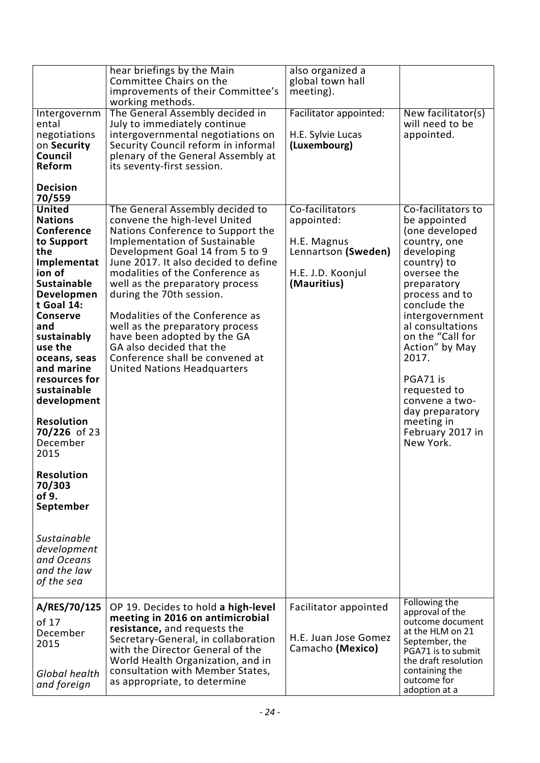|                                                                                                                                                                                                                                                                                                                                                                                                                                                                                               | hear briefings by the Main<br>Committee Chairs on the<br>improvements of their Committee's<br>working methods.                                                                                                                                                                                                                                                                                                                                                                                                                       | also organized a<br>global town hall<br>meeting).                                                       |                                                                                                                                                                                                                                                                                                                                                                         |
|-----------------------------------------------------------------------------------------------------------------------------------------------------------------------------------------------------------------------------------------------------------------------------------------------------------------------------------------------------------------------------------------------------------------------------------------------------------------------------------------------|--------------------------------------------------------------------------------------------------------------------------------------------------------------------------------------------------------------------------------------------------------------------------------------------------------------------------------------------------------------------------------------------------------------------------------------------------------------------------------------------------------------------------------------|---------------------------------------------------------------------------------------------------------|-------------------------------------------------------------------------------------------------------------------------------------------------------------------------------------------------------------------------------------------------------------------------------------------------------------------------------------------------------------------------|
| Intergovernm<br>ental<br>negotiations<br>on Security<br>Council<br>Reform<br><b>Decision</b>                                                                                                                                                                                                                                                                                                                                                                                                  | The General Assembly decided in<br>July to immediately continue<br>intergovernmental negotiations on<br>Security Council reform in informal<br>plenary of the General Assembly at<br>its seventy-first session.                                                                                                                                                                                                                                                                                                                      | Facilitator appointed:<br>H.E. Sylvie Lucas<br>(Luxembourg)                                             | New facilitator(s)<br>will need to be<br>appointed.                                                                                                                                                                                                                                                                                                                     |
| 70/559<br><b>United</b><br><b>Nations</b><br><b>Conference</b><br>to Support<br>the<br>Implementat<br>ion of<br><b>Sustainable</b><br>Developmen<br>t Goal 14:<br><b>Conserve</b><br>and<br>sustainably<br>use the<br>oceans, seas<br>and marine<br>resources for<br>sustainable<br>development<br><b>Resolution</b><br>70/226 of 23<br>December<br>2015<br><b>Resolution</b><br>70/303<br>of 9.<br>September<br><b>Sustainable</b><br>development<br>and Oceans<br>and the law<br>of the sea | The General Assembly decided to<br>convene the high-level United<br>Nations Conference to Support the<br><b>Implementation of Sustainable</b><br>Development Goal 14 from 5 to 9<br>June 2017. It also decided to define<br>modalities of the Conference as<br>well as the preparatory process<br>during the 70th session.<br>Modalities of the Conference as<br>well as the preparatory process<br>have been adopted by the GA<br>GA also decided that the<br>Conference shall be convened at<br><b>United Nations Headquarters</b> | Co-facilitators<br>appointed:<br>H.E. Magnus<br>Lennartson (Sweden)<br>H.E. J.D. Koonjul<br>(Mauritius) | Co-facilitators to<br>be appointed<br>(one developed<br>country, one<br>developing<br>country) to<br>oversee the<br>preparatory<br>process and to<br>conclude the<br>intergovernment<br>al consultations<br>on the "Call for<br>Action" by May<br>2017.<br>PGA71 is<br>requested to<br>convene a two-<br>day preparatory<br>meeting in<br>February 2017 in<br>New York. |
| A/RES/70/125<br>of 17<br>December<br>2015<br>Global health<br>and foreign                                                                                                                                                                                                                                                                                                                                                                                                                     | OP 19. Decides to hold a high-level<br>meeting in 2016 on antimicrobial<br>resistance, and requests the<br>Secretary-General, in collaboration<br>with the Director General of the<br>World Health Organization, and in<br>consultation with Member States,<br>as appropriate, to determine                                                                                                                                                                                                                                          | Facilitator appointed<br>H.E. Juan Jose Gomez<br>Camacho (Mexico)                                       | Following the<br>approval of the<br>outcome document<br>at the HLM on 21<br>September, the<br>PGA71 is to submit<br>the draft resolution<br>containing the<br>outcome for<br>adoption at a                                                                                                                                                                              |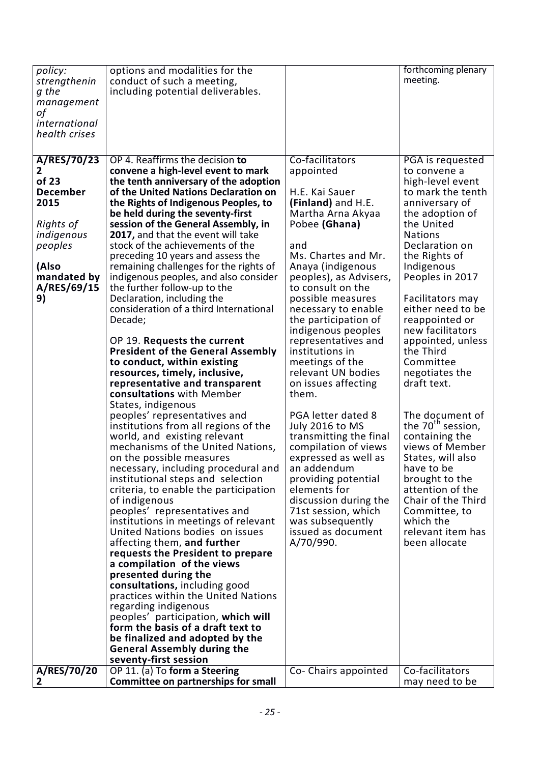| policy:         | options and modalities for the                                          |                                        | forthcoming plenary            |
|-----------------|-------------------------------------------------------------------------|----------------------------------------|--------------------------------|
| strengthenin    | conduct of such a meeting,                                              |                                        | meeting.                       |
| g the           | including potential deliverables.                                       |                                        |                                |
| management      |                                                                         |                                        |                                |
| οf              |                                                                         |                                        |                                |
| international   |                                                                         |                                        |                                |
| health crises   |                                                                         |                                        |                                |
|                 |                                                                         |                                        |                                |
| A/RES/70/23     | OP 4. Reaffirms the decision to                                         | Co-facilitators                        | PGA is requested               |
| 2               | convene a high-level event to mark                                      | appointed                              | to convene a                   |
| of 23           | the tenth anniversary of the adoption                                   |                                        | high-level event               |
| <b>December</b> | of the United Nations Declaration on                                    | H.E. Kai Sauer                         | to mark the tenth              |
| 2015            | the Rights of Indigenous Peoples, to                                    | (Finland) and H.E.                     | anniversary of                 |
|                 | be held during the seventy-first                                        | Martha Arna Akyaa                      | the adoption of                |
| Rights of       | session of the General Assembly, in                                     | Pobee (Ghana)                          | the United                     |
| indigenous      | 2017, and that the event will take                                      |                                        | <b>Nations</b>                 |
| peoples         | stock of the achievements of the                                        | and                                    | Declaration on                 |
|                 | preceding 10 years and assess the                                       | Ms. Chartes and Mr.                    | the Rights of                  |
| (Also           | remaining challenges for the rights of                                  | Anaya (indigenous                      | Indigenous                     |
| mandated by     | indigenous peoples, and also consider                                   | peoples), as Advisers,                 | Peoples in 2017                |
| A/RES/69/15     | the further follow-up to the                                            | to consult on the                      |                                |
| 9)              | Declaration, including the                                              | possible measures                      | Facilitators may               |
|                 | consideration of a third International                                  | necessary to enable                    | either need to be              |
|                 | Decade;                                                                 | the participation of                   | reappointed or                 |
|                 |                                                                         | indigenous peoples                     | new facilitators               |
|                 | OP 19. Requests the current                                             | representatives and<br>institutions in | appointed, unless<br>the Third |
|                 | <b>President of the General Assembly</b><br>to conduct, within existing |                                        | Committee                      |
|                 | resources, timely, inclusive,                                           | meetings of the<br>relevant UN bodies  | negotiates the                 |
|                 | representative and transparent                                          | on issues affecting                    | draft text.                    |
|                 | consultations with Member                                               | them.                                  |                                |
|                 | States, indigenous                                                      |                                        |                                |
|                 | peoples' representatives and                                            | PGA letter dated 8                     | The document of                |
|                 | institutions from all regions of the                                    | July 2016 to MS                        | the 70 <sup>th</sup> session,  |
|                 | world, and existing relevant                                            | transmitting the final                 | containing the                 |
|                 | mechanisms of the United Nations,                                       | compilation of views                   | views of Member                |
|                 | on the possible measures                                                | expressed as well as                   | States, will also              |
|                 | necessary, including procedural and                                     | an addendum                            | have to be                     |
|                 | institutional steps and selection                                       | providing potential                    | brought to the                 |
|                 | criteria, to enable the participation                                   | elements for                           | attention of the               |
|                 | of indigenous                                                           | discussion during the                  | Chair of the Third             |
|                 | peoples' representatives and                                            | 71st session, which                    | Committee, to                  |
|                 | institutions in meetings of relevant                                    | was subsequently                       | which the                      |
|                 | United Nations bodies on issues                                         | issued as document                     | relevant item has              |
|                 | affecting them, and further                                             | A/70/990.                              | been allocate                  |
|                 | requests the President to prepare                                       |                                        |                                |
|                 | a compilation of the views                                              |                                        |                                |
|                 | presented during the                                                    |                                        |                                |
|                 | consultations, including good                                           |                                        |                                |
|                 | practices within the United Nations                                     |                                        |                                |
|                 | regarding indigenous<br>peoples' participation, which will              |                                        |                                |
|                 | form the basis of a draft text to                                       |                                        |                                |
|                 | be finalized and adopted by the                                         |                                        |                                |
|                 | <b>General Assembly during the</b>                                      |                                        |                                |
|                 | seventy-first session                                                   |                                        |                                |
| A/RES/70/20     | OP 11. (a) To form a Steering                                           | Co- Chairs appointed                   | Co-facilitators                |
| 2               | Committee on partnerships for small                                     |                                        | may need to be                 |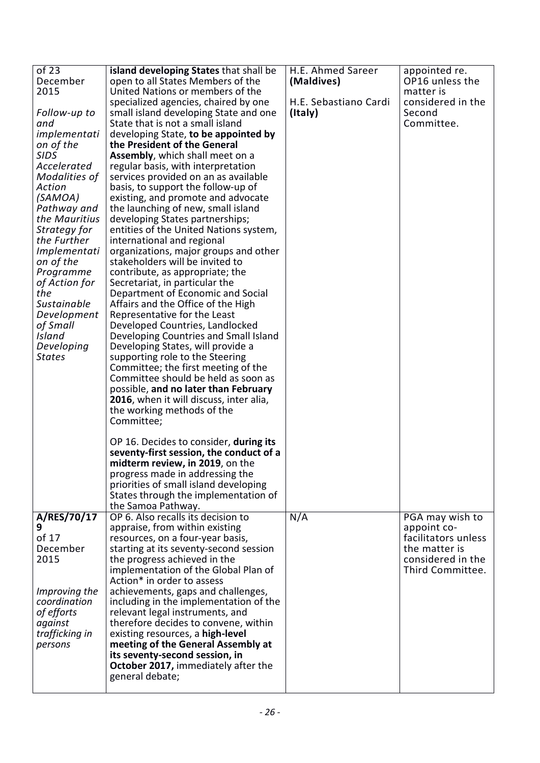| of 23          | island developing States that shall be                             | H.E. Ahmed Sareer     | appointed re.       |
|----------------|--------------------------------------------------------------------|-----------------------|---------------------|
| December       | open to all States Members of the                                  | (Maldives)            | OP16 unless the     |
|                |                                                                    |                       |                     |
| 2015           | United Nations or members of the                                   |                       | matter is           |
|                | specialized agencies, chaired by one                               | H.E. Sebastiano Cardi | considered in the   |
| Follow-up to   | small island developing State and one                              | (Italy)               | Second              |
| and            | State that is not a small island                                   |                       | Committee.          |
| implementati   | developing State, to be appointed by                               |                       |                     |
| on of the      | the President of the General                                       |                       |                     |
| <b>SIDS</b>    | <b>Assembly, which shall meet on a</b>                             |                       |                     |
| Accelerated    | regular basis, with interpretation                                 |                       |                     |
| Modalities of  | services provided on an as available                               |                       |                     |
| Action         | basis, to support the follow-up of                                 |                       |                     |
| (SAMOA)        | existing, and promote and advocate                                 |                       |                     |
| Pathway and    | the launching of new, small island                                 |                       |                     |
| the Mauritius  |                                                                    |                       |                     |
|                | developing States partnerships;                                    |                       |                     |
| Strategy for   | entities of the United Nations system,                             |                       |                     |
| the Further    | international and regional                                         |                       |                     |
| Implementati   | organizations, major groups and other                              |                       |                     |
| on of the      | stakeholders will be invited to                                    |                       |                     |
| Programme      | contribute, as appropriate; the                                    |                       |                     |
| of Action for  | Secretariat, in particular the                                     |                       |                     |
| the            | Department of Economic and Social                                  |                       |                     |
| Sustainable    | Affairs and the Office of the High                                 |                       |                     |
| Development    | Representative for the Least                                       |                       |                     |
| of Small       | Developed Countries, Landlocked                                    |                       |                     |
| Island         | Developing Countries and Small Island                              |                       |                     |
| Developing     | Developing States, will provide a                                  |                       |                     |
| <b>States</b>  | supporting role to the Steering                                    |                       |                     |
|                | Committee; the first meeting of the                                |                       |                     |
|                | Committee should be held as soon as                                |                       |                     |
|                | possible, and no later than February                               |                       |                     |
|                |                                                                    |                       |                     |
|                | 2016, when it will discuss, inter alia,                            |                       |                     |
|                | the working methods of the                                         |                       |                     |
|                | Committee;                                                         |                       |                     |
|                |                                                                    |                       |                     |
|                | OP 16. Decides to consider, during its                             |                       |                     |
|                | seventy-first session, the conduct of a                            |                       |                     |
|                | midterm review, in 2019, on the                                    |                       |                     |
|                | progress made in addressing the                                    |                       |                     |
|                | priorities of small island developing                              |                       |                     |
|                | States through the implementation of                               |                       |                     |
|                | the Samoa Pathway.                                                 |                       |                     |
| A/RES/70/17    | OP 6. Also recalls its decision to                                 | N/A                   | PGA may wish to     |
| 9              | appraise, from within existing                                     |                       | appoint co-         |
| of 17          | resources, on a four-year basis,                                   |                       | facilitators unless |
| December       | starting at its seventy-second session                             |                       | the matter is       |
| 2015           | the progress achieved in the                                       |                       | considered in the   |
|                |                                                                    |                       | Third Committee.    |
|                | implementation of the Global Plan of<br>Action* in order to assess |                       |                     |
|                |                                                                    |                       |                     |
| Improving the  | achievements, gaps and challenges,                                 |                       |                     |
| coordination   | including in the implementation of the                             |                       |                     |
| of efforts     | relevant legal instruments, and                                    |                       |                     |
| against        | therefore decides to convene, within                               |                       |                     |
| trafficking in | existing resources, a high-level                                   |                       |                     |
| persons        | meeting of the General Assembly at                                 |                       |                     |
|                | its seventy-second session, in                                     |                       |                     |
|                | October 2017, immediately after the                                |                       |                     |
|                | general debate;                                                    |                       |                     |
|                |                                                                    |                       |                     |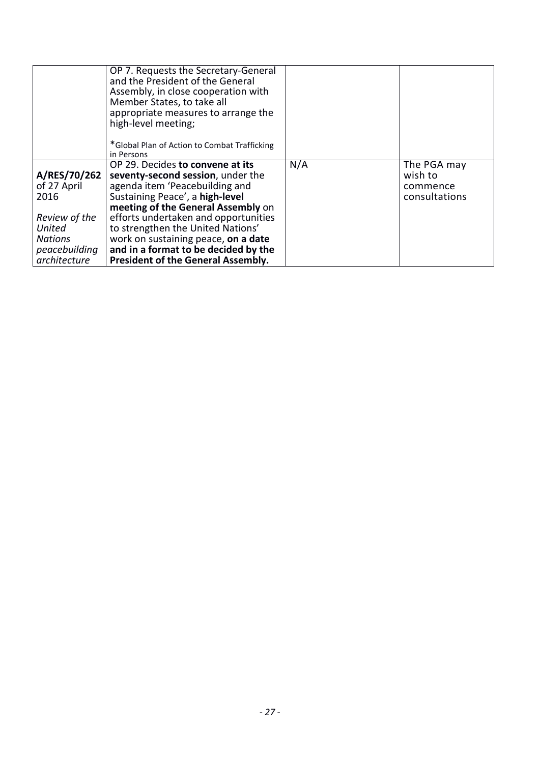|                                                                                                                   | OP 7. Requests the Secretary-General<br>and the President of the General<br>Assembly, in close cooperation with<br>Member States, to take all<br>appropriate measures to arrange the<br>high-level meeting;<br>*Global Plan of Action to Combat Trafficking<br>in Persons                                                                                                                 |     |                                                     |
|-------------------------------------------------------------------------------------------------------------------|-------------------------------------------------------------------------------------------------------------------------------------------------------------------------------------------------------------------------------------------------------------------------------------------------------------------------------------------------------------------------------------------|-----|-----------------------------------------------------|
| A/RES/70/262<br>of 27 April<br>2016<br>Review of the<br>United<br><b>Nations</b><br>peacebuilding<br>architecture | OP 29. Decides to convene at its<br>seventy-second session, under the<br>agenda item 'Peacebuilding and<br>Sustaining Peace', a high-level<br>meeting of the General Assembly on<br>efforts undertaken and opportunities<br>to strengthen the United Nations'<br>work on sustaining peace, on a date<br>and in a format to be decided by the<br><b>President of the General Assembly.</b> | N/A | The PGA may<br>wish to<br>commence<br>consultations |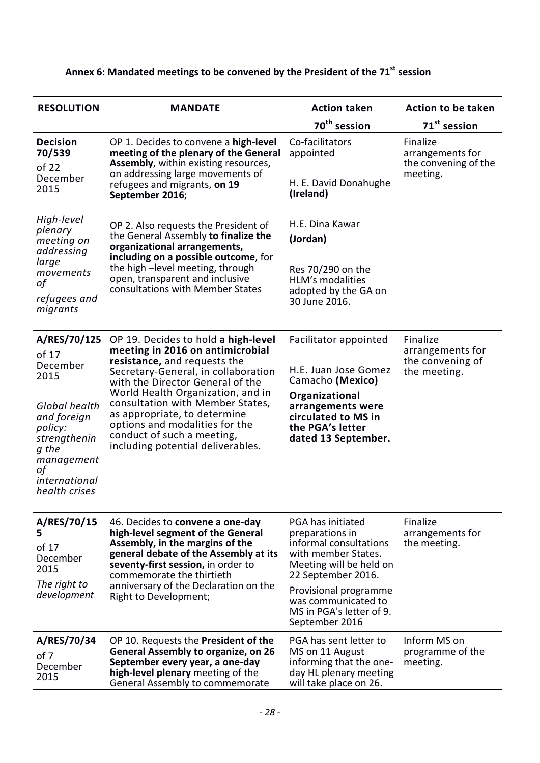# Annex 6: Mandated meetings to be convened by the President of the 71<sup>st</sup> session

| <b>RESOLUTION</b>                                                                                                                                                   | <b>MANDATE</b>                                                                                                                                                                                                                                                                                                                                                                                   | <b>Action taken</b>                                                                                                                                                                                                                  | <b>Action to be taken</b>                                        |
|---------------------------------------------------------------------------------------------------------------------------------------------------------------------|--------------------------------------------------------------------------------------------------------------------------------------------------------------------------------------------------------------------------------------------------------------------------------------------------------------------------------------------------------------------------------------------------|--------------------------------------------------------------------------------------------------------------------------------------------------------------------------------------------------------------------------------------|------------------------------------------------------------------|
|                                                                                                                                                                     |                                                                                                                                                                                                                                                                                                                                                                                                  | 70 <sup>th</sup> session                                                                                                                                                                                                             | 71 <sup>st</sup> session                                         |
| <b>Decision</b><br>70/539<br>of 22<br>December<br>2015                                                                                                              | OP 1. Decides to convene a high-level<br>meeting of the plenary of the General<br>Assembly, within existing resources,<br>on addressing large movements of<br>refugees and migrants, on 19<br>September 2016;                                                                                                                                                                                    | Co-facilitators<br>appointed<br>H. E. David Donahughe<br>(Ireland)                                                                                                                                                                   | Finalize<br>arrangements for<br>the convening of the<br>meeting. |
| High-level<br>plenary<br>meeting on<br>addressing<br>large<br>movements<br>οf<br>refugees and<br>migrants                                                           | OP 2. Also requests the President of<br>the General Assembly to finalize the<br>organizational arrangements,<br>including on a possible outcome, for<br>the high - level meeting, through<br>open, transparent and inclusive<br>consultations with Member States                                                                                                                                 | H.E. Dina Kawar<br>(Jordan)<br>Res 70/290 on the<br><b>HLM's modalities</b><br>adopted by the GA on<br>30 June 2016.                                                                                                                 |                                                                  |
| A/RES/70/125<br>of 17<br>December<br>2015<br>Global health<br>and foreign<br>policy:<br>strengthenin<br>g the<br>management<br>οf<br>international<br>health crises | OP 19. Decides to hold a high-level<br>meeting in 2016 on antimicrobial<br>resistance, and requests the<br>Secretary-General, in collaboration<br>with the Director General of the<br>World Health Organization, and in<br>consultation with Member States,<br>as appropriate, to determine<br>options and modalities for the<br>conduct of such a meeting,<br>including potential deliverables. | Facilitator appointed<br>H.E. Juan Jose Gomez<br>Camacho (Mexico)<br>Organizational<br>arrangements were<br>circulated to MS in<br>the PGA's letter<br>dated 13 September.                                                           | Finalize<br>arrangements for<br>the convening of<br>the meeting. |
| A/RES/70/15<br>5<br>of 17<br>December<br>2015<br>The right to<br>development                                                                                        | 46. Decides to convene a one-day<br>high-level segment of the General<br>Assembly, in the margins of the<br>general debate of the Assembly at its<br>seventy-first session, in order to<br>commemorate the thirtieth<br>anniversary of the Declaration on the<br>Right to Development;                                                                                                           | PGA has initiated<br>preparations in<br>informal consultations<br>with member States.<br>Meeting will be held on<br>22 September 2016.<br>Provisional programme<br>was communicated to<br>MS in PGA's letter of 9.<br>September 2016 | Finalize<br>arrangements for<br>the meeting.                     |
| A/RES/70/34<br>of 7<br>December<br>2015                                                                                                                             | OP 10. Requests the President of the<br><b>General Assembly to organize, on 26</b><br>September every year, a one-day<br>high-level plenary meeting of the<br>General Assembly to commemorate                                                                                                                                                                                                    | PGA has sent letter to<br>MS on 11 August<br>informing that the one-<br>day HL plenary meeting<br>will take place on 26.                                                                                                             | Inform MS on<br>programme of the<br>meeting.                     |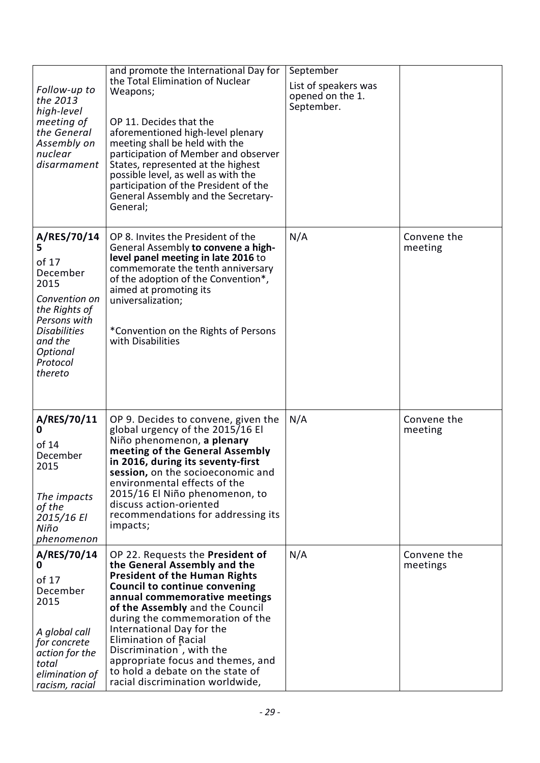| Follow-up to<br>the 2013<br>high-level<br>meeting of<br>the General<br>Assembly on<br>nuclear<br>disarmament                                                         | and promote the International Day for<br>the Total Elimination of Nuclear<br>Weapons;<br>OP 11. Decides that the<br>aforementioned high-level plenary<br>meeting shall be held with the<br>participation of Member and observer<br>States, represented at the highest<br>possible level, as well as with the<br>participation of the President of the<br>General Assembly and the Secretary-<br>General;                                               | September<br>List of speakers was<br>opened on the 1.<br>September. |                         |
|----------------------------------------------------------------------------------------------------------------------------------------------------------------------|--------------------------------------------------------------------------------------------------------------------------------------------------------------------------------------------------------------------------------------------------------------------------------------------------------------------------------------------------------------------------------------------------------------------------------------------------------|---------------------------------------------------------------------|-------------------------|
| A/RES/70/14<br>5<br>of 17<br>December<br>2015<br>Convention on<br>the Rights of<br>Persons with<br><b>Disabilities</b><br>and the<br>Optional<br>Protocol<br>thereto | OP 8. Invites the President of the<br>General Assembly to convene a high-<br>level panel meeting in late 2016 to<br>commemorate the tenth anniversary<br>of the adoption of the Convention*,<br>aimed at promoting its<br>universalization;<br>*Convention on the Rights of Persons<br>with Disabilities                                                                                                                                               | N/A                                                                 | Convene the<br>meeting  |
| A/RES/70/11<br>0<br>of 14<br>December<br>2015<br>The impacts<br>of the<br>2015/16 El<br>Niño<br>phenomenon                                                           | OP 9. Decides to convene, given the<br>global urgency of the 2015/16 El<br>Niño phenomenon, a plenary<br>meeting of the General Assembly<br>in 2016, during its seventy-first<br>session, on the socioeconomic and<br>environmental effects of the<br>2015/16 El Niño phenomenon, to<br>discuss action-oriented<br>recommendations for addressing its<br>impacts;                                                                                      | N/A                                                                 | Convene the<br>meeting  |
| A/RES/70/14<br>0<br>of 17<br>December<br>2015<br>A global call<br>for concrete<br>action for the<br>total<br>elimination of<br>racism, racial                        | OP 22. Requests the President of<br>the General Assembly and the<br><b>President of the Human Rights</b><br><b>Council to continue convening</b><br>annual commemorative meetings<br>of the Assembly and the Council<br>during the commemoration of the<br>International Day for the<br>Elimination of Racial<br>Discrimination, with the<br>appropriate focus and themes, and<br>to hold a debate on the state of<br>racial discrimination worldwide, | N/A                                                                 | Convene the<br>meetings |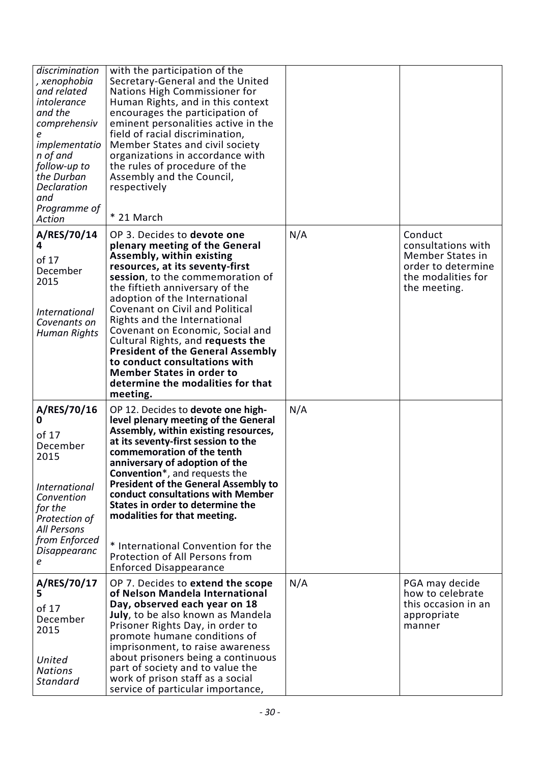| discrimination<br>, xenophobia<br>and related<br>intolerance<br>and the<br>comprehensiv<br>implementatio<br>n of and<br>follow-up to<br>the Durban<br><b>Declaration</b><br>and<br>Programme of<br>Action | with the participation of the<br>Secretary-General and the United<br>Nations High Commissioner for<br>Human Rights, and in this context<br>encourages the participation of<br>eminent personalities active in the<br>field of racial discrimination,<br>Member States and civil society<br>organizations in accordance with<br>the rules of procedure of the<br>Assembly and the Council,<br>respectively<br>* 21 March                                                                                                                                    |     |                                                                                                               |
|-----------------------------------------------------------------------------------------------------------------------------------------------------------------------------------------------------------|------------------------------------------------------------------------------------------------------------------------------------------------------------------------------------------------------------------------------------------------------------------------------------------------------------------------------------------------------------------------------------------------------------------------------------------------------------------------------------------------------------------------------------------------------------|-----|---------------------------------------------------------------------------------------------------------------|
| A/RES/70/14<br>4<br>of 17<br>December<br>2015<br><i>International</i><br>Covenants on<br><b>Human Rights</b>                                                                                              | OP 3. Decides to devote one<br>plenary meeting of the General<br><b>Assembly, within existing</b><br>resources, at its seventy-first<br>session, to the commemoration of<br>the fiftieth anniversary of the<br>adoption of the International<br>Covenant on Civil and Political<br>Rights and the International<br>Covenant on Economic, Social and<br>Cultural Rights, and requests the<br><b>President of the General Assembly</b><br>to conduct consultations with<br><b>Member States in order to</b><br>determine the modalities for that<br>meeting. | N/A | Conduct<br>consultations with<br>Member States in<br>order to determine<br>the modalities for<br>the meeting. |
| A/RES/70/16<br>0<br>of 17<br>December<br>2015<br><i>International</i><br>Convention<br>for the<br>Protection of<br><b>All Persons</b><br>from Enforced<br>Disappearanc<br>е                               | OP 12. Decides to devote one high-<br>level plenary meeting of the General<br>Assembly, within existing resources,<br>at its seventy-first session to the<br>commemoration of the tenth<br>anniversary of adoption of the<br>Convention*, and requests the<br><b>President of the General Assembly to</b><br>conduct consultations with Member<br>States in order to determine the<br>modalities for that meeting.<br>* International Convention for the<br>Protection of All Persons from<br><b>Enforced Disappearance</b>                                | N/A |                                                                                                               |
| A/RES/70/17<br>5<br>of 17<br>December<br>2015<br>United<br><b>Nations</b><br><b>Standard</b>                                                                                                              | OP 7. Decides to extend the scope<br>of Nelson Mandela International<br>Day, observed each year on 18<br>July, to be also known as Mandela<br>Prisoner Rights Day, in order to<br>promote humane conditions of<br>imprisonment, to raise awareness<br>about prisoners being a continuous<br>part of society and to value the<br>work of prison staff as a social<br>service of particular importance,                                                                                                                                                      | N/A | PGA may decide<br>how to celebrate<br>this occasion in an<br>appropriate<br>manner                            |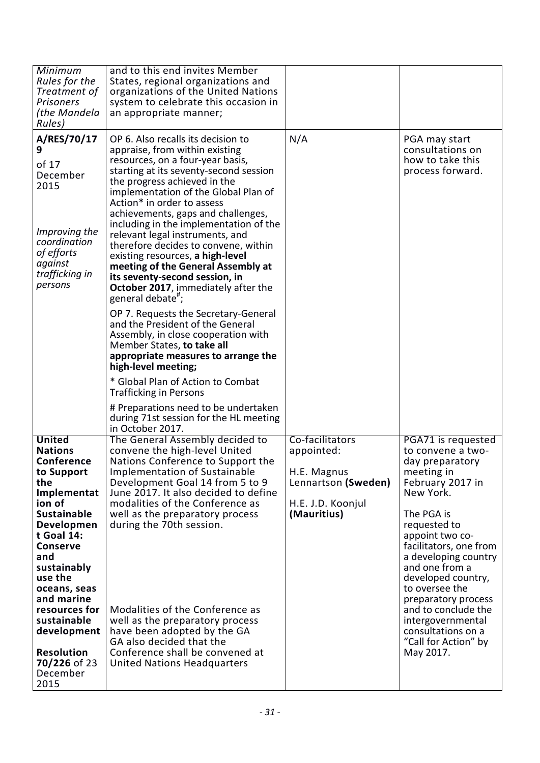| Minimum<br>Rules for the<br>Treatment of<br><b>Prisoners</b><br>(the Mandela                                                                                                                                                                                                                                                            | and to this end invites Member<br>States, regional organizations and<br>organizations of the United Nations<br>system to celebrate this occasion in<br>an appropriate manner;                                                                                                                                                                                                                                                                                                                                                                                                                                                                                                                                                                                                                                                                                                                                                                                             |                                                                                                         |                                                                                                                                                                                                                                                                                                                                                                                                      |
|-----------------------------------------------------------------------------------------------------------------------------------------------------------------------------------------------------------------------------------------------------------------------------------------------------------------------------------------|---------------------------------------------------------------------------------------------------------------------------------------------------------------------------------------------------------------------------------------------------------------------------------------------------------------------------------------------------------------------------------------------------------------------------------------------------------------------------------------------------------------------------------------------------------------------------------------------------------------------------------------------------------------------------------------------------------------------------------------------------------------------------------------------------------------------------------------------------------------------------------------------------------------------------------------------------------------------------|---------------------------------------------------------------------------------------------------------|------------------------------------------------------------------------------------------------------------------------------------------------------------------------------------------------------------------------------------------------------------------------------------------------------------------------------------------------------------------------------------------------------|
| Rules)<br>A/RES/70/17<br>9<br>of 17<br>December<br>2015<br>Improving the<br>coordination<br>of efforts<br>against<br>trafficking in<br>persons                                                                                                                                                                                          | OP 6. Also recalls its decision to<br>appraise, from within existing<br>resources, on a four-year basis,<br>starting at its seventy-second session<br>the progress achieved in the<br>implementation of the Global Plan of<br>Action* in order to assess<br>achievements, gaps and challenges,<br>including in the implementation of the<br>relevant legal instruments, and<br>therefore decides to convene, within<br>existing resources, a high-level<br>meeting of the General Assembly at<br>its seventy-second session, in<br><b>October 2017</b> , immediately after the<br>general debate";<br>OP 7. Requests the Secretary-General<br>and the President of the General<br>Assembly, in close cooperation with<br>Member States, to take all<br>appropriate measures to arrange the<br>high-level meeting;<br>* Global Plan of Action to Combat<br><b>Trafficking in Persons</b><br># Preparations need to be undertaken<br>during 71st session for the HL meeting | N/A                                                                                                     | PGA may start<br>consultations on<br>how to take this<br>process forward.                                                                                                                                                                                                                                                                                                                            |
| <b>United</b><br><b>Nations</b><br>Conference<br>to Support<br>the<br>Implementat<br>ion of<br><b>Sustainable</b><br>Developmen<br>t Goal 14:<br><b>Conserve</b><br>and<br>sustainably<br>use the<br>oceans, seas<br>and marine<br>resources for<br>sustainable<br>development<br><b>Resolution</b><br>70/226 of 23<br>December<br>2015 | in October 2017.<br>The General Assembly decided to<br>convene the high-level United<br>Nations Conference to Support the<br>Implementation of Sustainable<br>Development Goal 14 from 5 to 9<br>June 2017. It also decided to define<br>modalities of the Conference as<br>well as the preparatory process<br>during the 70th session.<br>Modalities of the Conference as<br>well as the preparatory process<br>have been adopted by the GA<br>GA also decided that the<br>Conference shall be convened at<br><b>United Nations Headquarters</b>                                                                                                                                                                                                                                                                                                                                                                                                                         | Co-facilitators<br>appointed:<br>H.E. Magnus<br>Lennartson (Sweden)<br>H.E. J.D. Koonjul<br>(Mauritius) | PGA71 is requested<br>to convene a two-<br>day preparatory<br>meeting in<br>February 2017 in<br>New York.<br>The PGA is<br>requested to<br>appoint two co-<br>facilitators, one from<br>a developing country<br>and one from a<br>developed country,<br>to oversee the<br>preparatory process<br>and to conclude the<br>intergovernmental<br>consultations on a<br>"Call for Action" by<br>May 2017. |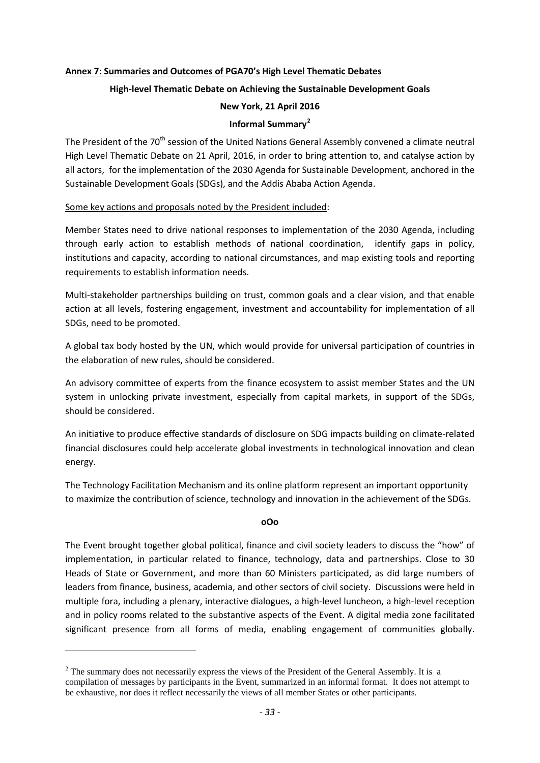#### **Annex 7: Summaries and Outcomes of PGA70's High Level Thematic Debates**

### **High-level Thematic Debate on Achieving the Sustainable Development Goals**

#### **New York, 21 April 2016**

#### **Informal Summary[2](#page-7-0)**

The President of the 70<sup>th</sup> session of the United Nations General Assembly convened a climate neutral High Level Thematic Debate on 21 April, 2016, in order to bring attention to, and catalyse action by all actors, for the implementation of the 2030 Agenda for Sustainable Development, anchored in the Sustainable Development Goals (SDGs), and the Addis Ababa Action Agenda.

#### Some key actions and proposals noted by the President included:

Member States need to drive national responses to implementation of the 2030 Agenda, including through early action to establish methods of national coordination, identify gaps in policy, institutions and capacity, according to national circumstances, and map existing tools and reporting requirements to establish information needs.

Multi-stakeholder partnerships building on trust, common goals and a clear vision, and that enable action at all levels, fostering engagement, investment and accountability for implementation of all SDGs, need to be promoted.

A global tax body hosted by the UN, which would provide for universal participation of countries in the elaboration of new rules, should be considered.

An advisory committee of experts from the finance ecosystem to assist member States and the UN system in unlocking private investment, especially from capital markets, in support of the SDGs, should be considered.

An initiative to produce effective standards of disclosure on SDG impacts building on climate-related financial disclosures could help accelerate global investments in technological innovation and clean energy.

The Technology Facilitation Mechanism and its online platform represent an important opportunity to maximize the contribution of science, technology and innovation in the achievement of the SDGs.

#### **oOo**

The Event brought together global political, finance and civil society leaders to discuss the "how" of implementation, in particular related to finance, technology, data and partnerships. Close to 30 Heads of State or Government, and more than 60 Ministers participated, as did large numbers of leaders from finance, business, academia, and other sectors of civil society. Discussions were held in multiple fora, including a plenary, interactive dialogues, a high-level luncheon, a high-level reception and in policy rooms related to the substantive aspects of the Event. A digital media zone facilitated significant presence from all forms of media, enabling engagement of communities globally.

**.** 

<span id="page-34-0"></span> $2$  The summary does not necessarily express the views of the President of the General Assembly. It is a compilation of messages by participants in the Event, summarized in an informal format. It does not attempt to be exhaustive, nor does it reflect necessarily the views of all member States or other participants.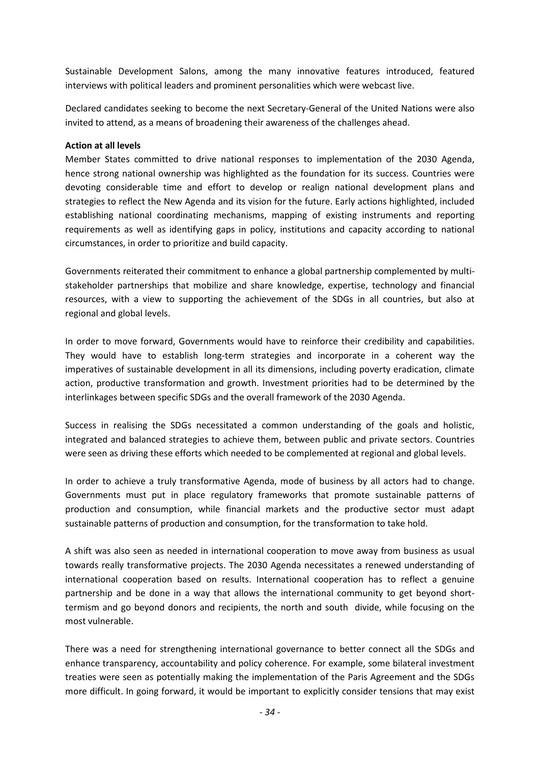Sustainable Development Salons, among the many innovative features introduced, featured interviews with political leaders and prominent personalities which were webcast live.

Declared candidates seeking to become the next Secretary-General of the United Nations were also invited to attend, as a means of broadening their awareness of the challenges ahead.

#### **Action at all levels**

Member States committed to drive national responses to implementation of the 2030 Agenda, hence strong national ownership was highlighted as the foundation for its success. Countries were devoting considerable time and effort to develop or realign national development plans and strategies to reflect the New Agenda and its vision for the future. Early actions highlighted, included establishing national coordinating mechanisms, mapping of existing instruments and reporting requirements as well as identifying gaps in policy, institutions and capacity according to national circumstances, in order to prioritize and build capacity.

Governments reiterated their commitment to enhance a global partnership complemented by multistakeholder partnerships that mobilize and share knowledge, expertise, technology and financial resources, with a view to supporting the achievement of the SDGs in all countries, but also at regional and global levels.

In order to move forward, Governments would have to reinforce their credibility and capabilities. They would have to establish long-term strategies and incorporate in a coherent way the imperatives of sustainable development in all its dimensions, including poverty eradication, climate action, productive transformation and growth. Investment priorities had to be determined by the interlinkages between specific SDGs and the overall framework of the 2030 Agenda.

Success in realising the SDGs necessitated a common understanding of the goals and holistic, integrated and balanced strategies to achieve them, between public and private sectors. Countries were seen as driving these efforts which needed to be complemented at regional and global levels.

In order to achieve a truly transformative Agenda, mode of business by all actors had to change. Governments must put in place regulatory frameworks that promote sustainable patterns of production and consumption, while financial markets and the productive sector must adapt sustainable patterns of production and consumption, for the transformation to take hold.

A shift was also seen as needed in international cooperation to move away from business as usual towards really transformative projects. The 2030 Agenda necessitates a renewed understanding of international cooperation based on results. International cooperation has to reflect a genuine partnership and be done in a way that allows the international community to get beyond shorttermism and go beyond donors and recipients, the north and south divide, while focusing on the most vulnerable.

There was a need for strengthening international governance to better connect all the SDGs and enhance transparency, accountability and policy coherence. For example, some bilateral investment treaties were seen as potentially making the implementation of the Paris Agreement and the SDGs more difficult. In going forward, it would be important to explicitly consider tensions that may exist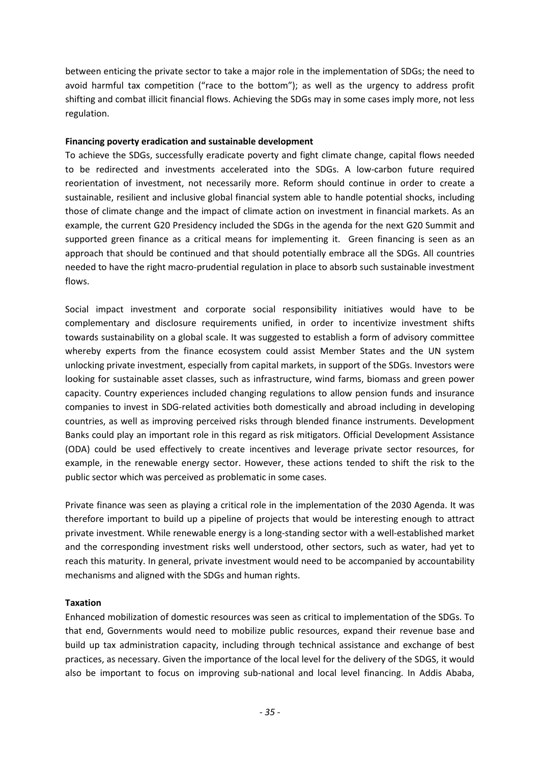between enticing the private sector to take a major role in the implementation of SDGs; the need to avoid harmful tax competition ("race to the bottom"); as well as the urgency to address profit shifting and combat illicit financial flows. Achieving the SDGs may in some cases imply more, not less regulation.

### **Financing poverty eradication and sustainable development**

To achieve the SDGs, successfully eradicate poverty and fight climate change, capital flows needed to be redirected and investments accelerated into the SDGs. A low-carbon future required reorientation of investment, not necessarily more. Reform should continue in order to create a sustainable, resilient and inclusive global financial system able to handle potential shocks, including those of climate change and the impact of climate action on investment in financial markets. As an example, the current G20 Presidency included the SDGs in the agenda for the next G20 Summit and supported green finance as a critical means for implementing it. Green financing is seen as an approach that should be continued and that should potentially embrace all the SDGs. All countries needed to have the right macro-prudential regulation in place to absorb such sustainable investment flows.

Social impact investment and corporate social responsibility initiatives would have to be complementary and disclosure requirements unified, in order to incentivize investment shifts towards sustainability on a global scale. It was suggested to establish a form of advisory committee whereby experts from the finance ecosystem could assist Member States and the UN system unlocking private investment, especially from capital markets, in support of the SDGs. Investors were looking for sustainable asset classes, such as infrastructure, wind farms, biomass and green power capacity. Country experiences included changing regulations to allow pension funds and insurance companies to invest in SDG-related activities both domestically and abroad including in developing countries, as well as improving perceived risks through blended finance instruments. Development Banks could play an important role in this regard as risk mitigators. Official Development Assistance (ODA) could be used effectively to create incentives and leverage private sector resources, for example, in the renewable energy sector. However, these actions tended to shift the risk to the public sector which was perceived as problematic in some cases.

Private finance was seen as playing a critical role in the implementation of the 2030 Agenda. It was therefore important to build up a pipeline of projects that would be interesting enough to attract private investment. While renewable energy is a long-standing sector with a well-established market and the corresponding investment risks well understood, other sectors, such as water, had yet to reach this maturity. In general, private investment would need to be accompanied by accountability mechanisms and aligned with the SDGs and human rights.

## **Taxation**

Enhanced mobilization of domestic resources was seen as critical to implementation of the SDGs. To that end, Governments would need to mobilize public resources, expand their revenue base and build up tax administration capacity, including through technical assistance and exchange of best practices, as necessary. Given the importance of the local level for the delivery of the SDGS, it would also be important to focus on improving sub-national and local level financing. In Addis Ababa,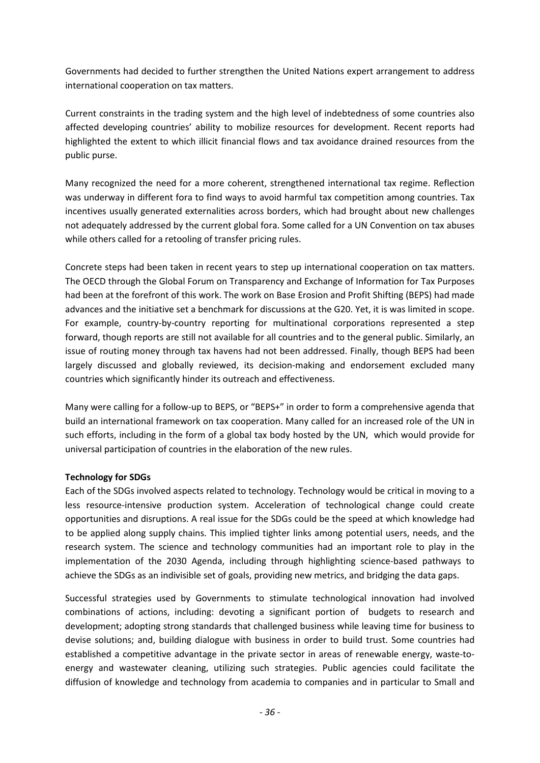Governments had decided to further strengthen the United Nations expert arrangement to address international cooperation on tax matters.

Current constraints in the trading system and the high level of indebtedness of some countries also affected developing countries' ability to mobilize resources for development. Recent reports had highlighted the extent to which illicit financial flows and tax avoidance drained resources from the public purse.

Many recognized the need for a more coherent, strengthened international tax regime. Reflection was underway in different fora to find ways to avoid harmful tax competition among countries. Tax incentives usually generated externalities across borders, which had brought about new challenges not adequately addressed by the current global fora. Some called for a UN Convention on tax abuses while others called for a retooling of transfer pricing rules.

Concrete steps had been taken in recent years to step up international cooperation on tax matters. The OECD through the Global Forum on Transparency and Exchange of Information for Tax Purposes had been at the forefront of this work. The work on Base Erosion and Profit Shifting (BEPS) had made advances and the initiative set a benchmark for discussions at the G20. Yet, it is was limited in scope. For example, country-by-country reporting for multinational corporations represented a step forward, though reports are still not available for all countries and to the general public. Similarly, an issue of routing money through tax havens had not been addressed. Finally, though BEPS had been largely discussed and globally reviewed, its decision-making and endorsement excluded many countries which significantly hinder its outreach and effectiveness.

Many were calling for a follow-up to BEPS, or "BEPS+" in order to form a comprehensive agenda that build an international framework on tax cooperation. Many called for an increased role of the UN in such efforts, including in the form of a global tax body hosted by the UN, which would provide for universal participation of countries in the elaboration of the new rules.

## **Technology for SDGs**

Each of the SDGs involved aspects related to technology. Technology would be critical in moving to a less resource-intensive production system. Acceleration of technological change could create opportunities and disruptions. A real issue for the SDGs could be the speed at which knowledge had to be applied along supply chains. This implied tighter links among potential users, needs, and the research system. The science and technology communities had an important role to play in the implementation of the 2030 Agenda, including through highlighting science-based pathways to achieve the SDGs as an indivisible set of goals, providing new metrics, and bridging the data gaps.

Successful strategies used by Governments to stimulate technological innovation had involved combinations of actions, including: devoting a significant portion of budgets to research and development; adopting strong standards that challenged business while leaving time for business to devise solutions; and, building dialogue with business in order to build trust. Some countries had established a competitive advantage in the private sector in areas of renewable energy, waste-toenergy and wastewater cleaning, utilizing such strategies. Public agencies could facilitate the diffusion of knowledge and technology from academia to companies and in particular to Small and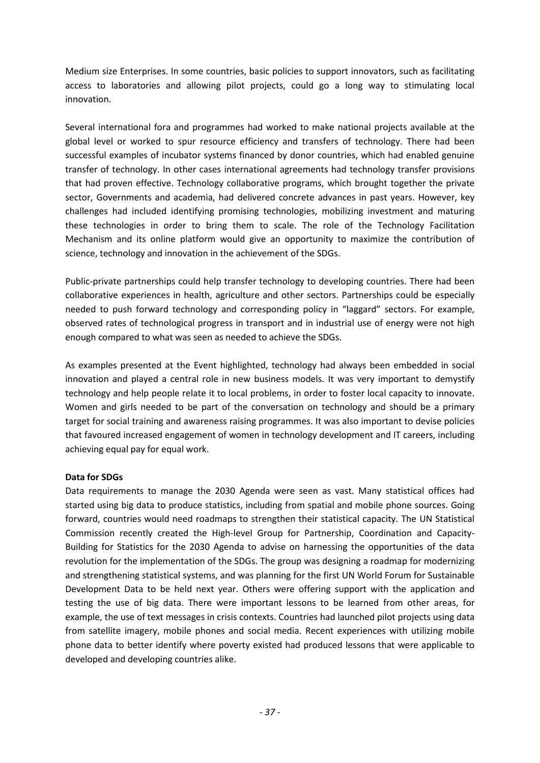Medium size Enterprises. In some countries, basic policies to support innovators, such as facilitating access to laboratories and allowing pilot projects, could go a long way to stimulating local innovation.

Several international fora and programmes had worked to make national projects available at the global level or worked to spur resource efficiency and transfers of technology. There had been successful examples of incubator systems financed by donor countries, which had enabled genuine transfer of technology. In other cases international agreements had technology transfer provisions that had proven effective. Technology collaborative programs, which brought together the private sector, Governments and academia, had delivered concrete advances in past years. However, key challenges had included identifying promising technologies, mobilizing investment and maturing these technologies in order to bring them to scale. The role of the Technology Facilitation Mechanism and its online platform would give an opportunity to maximize the contribution of science, technology and innovation in the achievement of the SDGs.

Public-private partnerships could help transfer technology to developing countries. There had been collaborative experiences in health, agriculture and other sectors. Partnerships could be especially needed to push forward technology and corresponding policy in "laggard" sectors. For example, observed rates of technological progress in transport and in industrial use of energy were not high enough compared to what was seen as needed to achieve the SDGs.

As examples presented at the Event highlighted, technology had always been embedded in social innovation and played a central role in new business models. It was very important to demystify technology and help people relate it to local problems, in order to foster local capacity to innovate. Women and girls needed to be part of the conversation on technology and should be a primary target for social training and awareness raising programmes. It was also important to devise policies that favoured increased engagement of women in technology development and IT careers, including achieving equal pay for equal work.

## **Data for SDGs**

Data requirements to manage the 2030 Agenda were seen as vast. Many statistical offices had started using big data to produce statistics, including from spatial and mobile phone sources. Going forward, countries would need roadmaps to strengthen their statistical capacity. The UN Statistical Commission recently created the High-level Group for Partnership, Coordination and Capacity-Building for Statistics for the 2030 Agenda to advise on harnessing the opportunities of the data revolution for the implementation of the SDGs. The group was designing a roadmap for modernizing and strengthening statistical systems, and was planning for the first UN World Forum for Sustainable Development Data to be held next year. Others were offering support with the application and testing the use of big data. There were important lessons to be learned from other areas, for example, the use of text messages in crisis contexts. Countries had launched pilot projects using data from satellite imagery, mobile phones and social media. Recent experiences with utilizing mobile phone data to better identify where poverty existed had produced lessons that were applicable to developed and developing countries alike.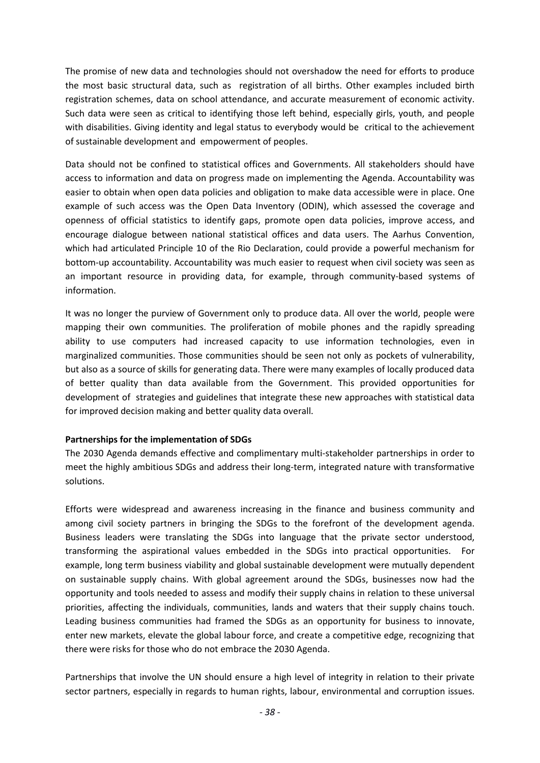The promise of new data and technologies should not overshadow the need for efforts to produce the most basic structural data, such as registration of all births. Other examples included birth registration schemes, data on school attendance, and accurate measurement of economic activity. Such data were seen as critical to identifying those left behind, especially girls, youth, and people with disabilities. Giving identity and legal status to everybody would be critical to the achievement of sustainable development and empowerment of peoples.

Data should not be confined to statistical offices and Governments. All stakeholders should have access to information and data on progress made on implementing the Agenda. Accountability was easier to obtain when open data policies and obligation to make data accessible were in place. One example of such access was the Open Data Inventory (ODIN), which assessed the coverage and openness of official statistics to identify gaps, promote open data policies, improve access, and encourage dialogue between national statistical offices and data users. The Aarhus Convention, which had articulated Principle 10 of the Rio Declaration, could provide a powerful mechanism for bottom-up accountability. Accountability was much easier to request when civil society was seen as an important resource in providing data, for example, through community-based systems of information.

It was no longer the purview of Government only to produce data. All over the world, people were mapping their own communities. The proliferation of mobile phones and the rapidly spreading ability to use computers had increased capacity to use information technologies, even in marginalized communities. Those communities should be seen not only as pockets of vulnerability, but also as a source of skills for generating data. There were many examples of locally produced data of better quality than data available from the Government. This provided opportunities for development of strategies and guidelines that integrate these new approaches with statistical data for improved decision making and better quality data overall.

#### **Partnerships for the implementation of SDGs**

The 2030 Agenda demands effective and complimentary multi-stakeholder partnerships in order to meet the highly ambitious SDGs and address their long-term, integrated nature with transformative solutions.

Efforts were widespread and awareness increasing in the finance and business community and among civil society partners in bringing the SDGs to the forefront of the development agenda. Business leaders were translating the SDGs into language that the private sector understood, transforming the aspirational values embedded in the SDGs into practical opportunities. For example, long term business viability and global sustainable development were mutually dependent on sustainable supply chains. With global agreement around the SDGs, businesses now had the opportunity and tools needed to assess and modify their supply chains in relation to these universal priorities, affecting the individuals, communities, lands and waters that their supply chains touch. Leading business communities had framed the SDGs as an opportunity for business to innovate, enter new markets, elevate the global labour force, and create a competitive edge, recognizing that there were risks for those who do not embrace the 2030 Agenda.

Partnerships that involve the UN should ensure a high level of integrity in relation to their private sector partners, especially in regards to human rights, labour, environmental and corruption issues.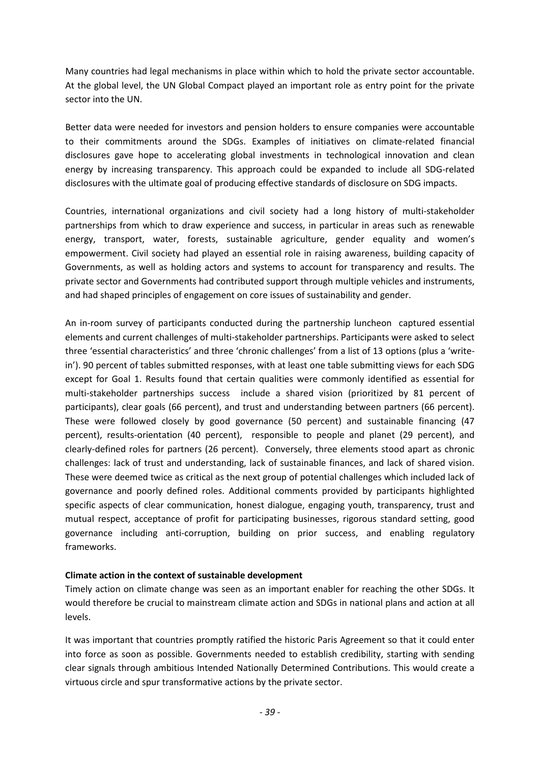Many countries had legal mechanisms in place within which to hold the private sector accountable. At the global level, the UN Global Compact played an important role as entry point for the private sector into the UN.

Better data were needed for investors and pension holders to ensure companies were accountable to their commitments around the SDGs. Examples of initiatives on climate-related financial disclosures gave hope to accelerating global investments in technological innovation and clean energy by increasing transparency. This approach could be expanded to include all SDG-related disclosures with the ultimate goal of producing effective standards of disclosure on SDG impacts.

Countries, international organizations and civil society had a long history of multi-stakeholder partnerships from which to draw experience and success, in particular in areas such as renewable energy, transport, water, forests, sustainable agriculture, gender equality and women's empowerment. Civil society had played an essential role in raising awareness, building capacity of Governments, as well as holding actors and systems to account for transparency and results. The private sector and Governments had contributed support through multiple vehicles and instruments, and had shaped principles of engagement on core issues of sustainability and gender.

An in-room survey of participants conducted during the partnership luncheon captured essential elements and current challenges of multi-stakeholder partnerships. Participants were asked to select three 'essential characteristics' and three 'chronic challenges' from a list of 13 options (plus a 'writein'). 90 percent of tables submitted responses, with at least one table submitting views for each SDG except for Goal 1. Results found that certain qualities were commonly identified as essential for multi-stakeholder partnerships success include a shared vision (prioritized by 81 percent of participants), clear goals (66 percent), and trust and understanding between partners (66 percent). These were followed closely by good governance (50 percent) and sustainable financing (47 percent), results-orientation (40 percent), responsible to people and planet (29 percent), and clearly-defined roles for partners (26 percent). Conversely, three elements stood apart as chronic challenges: lack of trust and understanding, lack of sustainable finances, and lack of shared vision. These were deemed twice as critical as the next group of potential challenges which included lack of governance and poorly defined roles. Additional comments provided by participants highlighted specific aspects of clear communication, honest dialogue, engaging youth, transparency, trust and mutual respect, acceptance of profit for participating businesses, rigorous standard setting, good governance including anti-corruption, building on prior success, and enabling regulatory frameworks.

## **Climate action in the context of sustainable development**

Timely action on climate change was seen as an important enabler for reaching the other SDGs. It would therefore be crucial to mainstream climate action and SDGs in national plans and action at all levels.

It was important that countries promptly ratified the historic Paris Agreement so that it could enter into force as soon as possible. Governments needed to establish credibility, starting with sending clear signals through ambitious Intended Nationally Determined Contributions. This would create a virtuous circle and spur transformative actions by the private sector.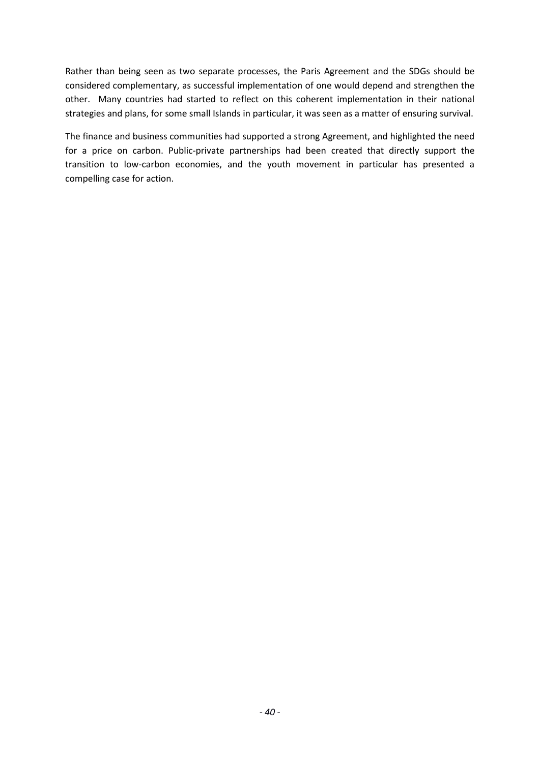Rather than being seen as two separate processes, the Paris Agreement and the SDGs should be considered complementary, as successful implementation of one would depend and strengthen the other. Many countries had started to reflect on this coherent implementation in their national strategies and plans, for some small Islands in particular, it was seen as a matter of ensuring survival.

The finance and business communities had supported a strong Agreement, and highlighted the need for a price on carbon. Public-private partnerships had been created that directly support the transition to low-carbon economies, and the youth movement in particular has presented a compelling case for action.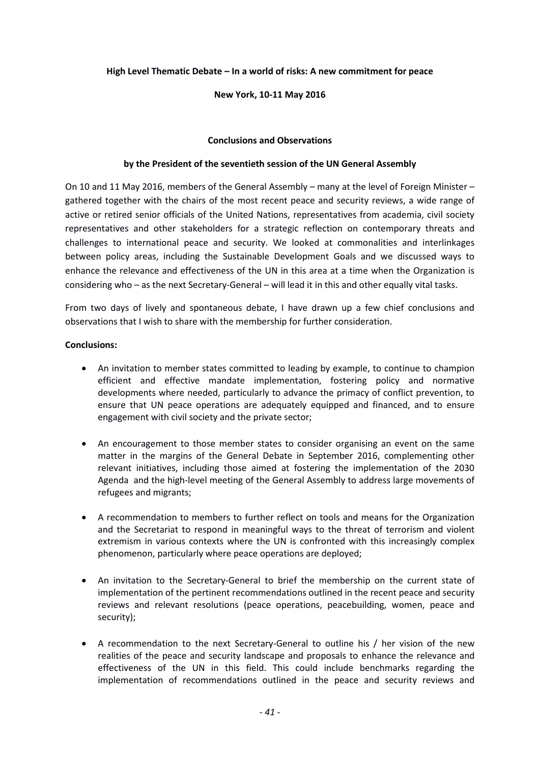#### **High Level Thematic Debate – In a world of risks: A new commitment for peace**

#### **New York, 10-11 May 2016**

#### **Conclusions and Observations**

#### **by the President of the seventieth session of the UN General Assembly**

On 10 and 11 May 2016, members of the General Assembly – many at the level of Foreign Minister – gathered together with the chairs of the most recent peace and security reviews, a wide range of active or retired senior officials of the United Nations, representatives from academia, civil society representatives and other stakeholders for a strategic reflection on contemporary threats and challenges to international peace and security. We looked at commonalities and interlinkages between policy areas, including the Sustainable Development Goals and we discussed ways to enhance the relevance and effectiveness of the UN in this area at a time when the Organization is considering who – as the next Secretary-General – will lead it in this and other equally vital tasks.

From two days of lively and spontaneous debate, I have drawn up a few chief conclusions and observations that I wish to share with the membership for further consideration.

#### **Conclusions:**

- An invitation to member states committed to leading by example, to continue to champion efficient and effective mandate implementation, fostering policy and normative developments where needed, particularly to advance the primacy of conflict prevention, to ensure that UN peace operations are adequately equipped and financed, and to ensure engagement with civil society and the private sector;
- An encouragement to those member states to consider organising an event on the same matter in the margins of the General Debate in September 2016, complementing other relevant initiatives, including those aimed at fostering the implementation of the 2030 Agenda and the high-level meeting of the General Assembly to address large movements of refugees and migrants;
- A recommendation to members to further reflect on tools and means for the Organization and the Secretariat to respond in meaningful ways to the threat of terrorism and violent extremism in various contexts where the UN is confronted with this increasingly complex phenomenon, particularly where peace operations are deployed;
- An invitation to the Secretary-General to brief the membership on the current state of implementation of the pertinent recommendations outlined in the recent peace and security reviews and relevant resolutions (peace operations, peacebuilding, women, peace and security);
- A recommendation to the next Secretary-General to outline his / her vision of the new realities of the peace and security landscape and proposals to enhance the relevance and effectiveness of the UN in this field. This could include benchmarks regarding the implementation of recommendations outlined in the peace and security reviews and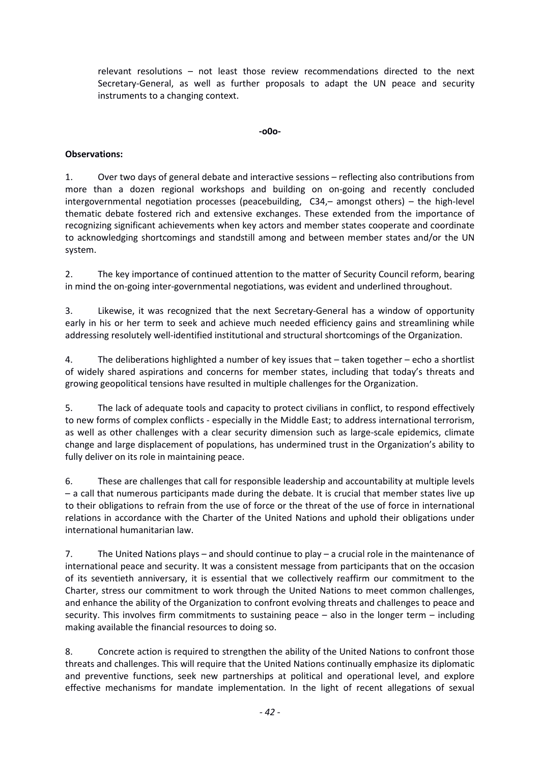relevant resolutions – not least those review recommendations directed to the next Secretary-General, as well as further proposals to adapt the UN peace and security instruments to a changing context.

#### **-o0o-**

## **Observations:**

1. Over two days of general debate and interactive sessions – reflecting also contributions from more than a dozen regional workshops and building on on-going and recently concluded intergovernmental negotiation processes (peacebuilding, C34,– amongst others) – the high-level thematic debate fostered rich and extensive exchanges. These extended from the importance of recognizing significant achievements when key actors and member states cooperate and coordinate to acknowledging shortcomings and standstill among and between member states and/or the UN system.

2. The key importance of continued attention to the matter of Security Council reform, bearing in mind the on-going inter-governmental negotiations, was evident and underlined throughout.

3. Likewise, it was recognized that the next Secretary-General has a window of opportunity early in his or her term to seek and achieve much needed efficiency gains and streamlining while addressing resolutely well-identified institutional and structural shortcomings of the Organization.

4. The deliberations highlighted a number of key issues that – taken together – echo a shortlist of widely shared aspirations and concerns for member states, including that today's threats and growing geopolitical tensions have resulted in multiple challenges for the Organization.

5. The lack of adequate tools and capacity to protect civilians in conflict, to respond effectively to new forms of complex conflicts - especially in the Middle East; to address international terrorism, as well as other challenges with a clear security dimension such as large-scale epidemics, climate change and large displacement of populations, has undermined trust in the Organization's ability to fully deliver on its role in maintaining peace.

6. These are challenges that call for responsible leadership and accountability at multiple levels – a call that numerous participants made during the debate. It is crucial that member states live up to their obligations to refrain from the use of force or the threat of the use of force in international relations in accordance with the Charter of the United Nations and uphold their obligations under international humanitarian law.

7. The United Nations plays – and should continue to play – a crucial role in the maintenance of international peace and security. It was a consistent message from participants that on the occasion of its seventieth anniversary, it is essential that we collectively reaffirm our commitment to the Charter, stress our commitment to work through the United Nations to meet common challenges, and enhance the ability of the Organization to confront evolving threats and challenges to peace and security. This involves firm commitments to sustaining peace – also in the longer term – including making available the financial resources to doing so.

8. Concrete action is required to strengthen the ability of the United Nations to confront those threats and challenges. This will require that the United Nations continually emphasize its diplomatic and preventive functions, seek new partnerships at political and operational level, and explore effective mechanisms for mandate implementation. In the light of recent allegations of sexual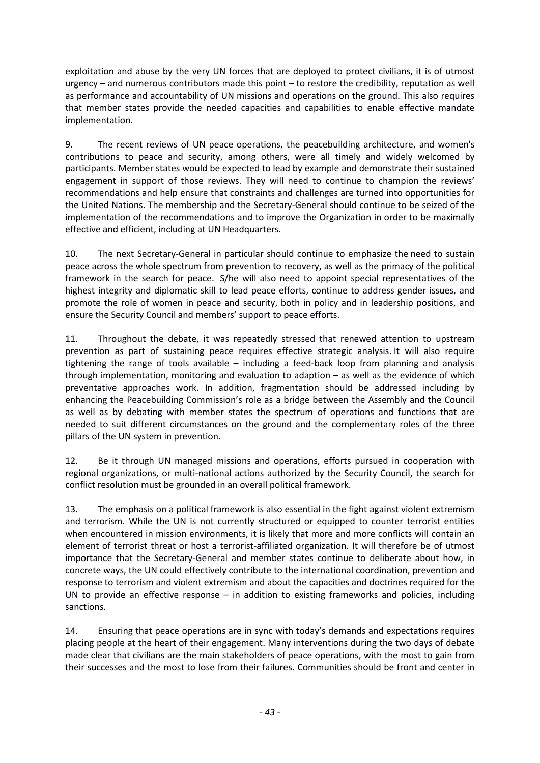exploitation and abuse by the very UN forces that are deployed to protect civilians, it is of utmost urgency – and numerous contributors made this point – to restore the credibility, reputation as well as performance and accountability of UN missions and operations on the ground. This also requires that member states provide the needed capacities and capabilities to enable effective mandate implementation.

9. The recent reviews of UN peace operations, the peacebuilding architecture, and women's contributions to peace and security, among others, were all timely and widely welcomed by participants. Member states would be expected to lead by example and demonstrate their sustained engagement in support of those reviews. They will need to continue to champion the reviews' recommendations and help ensure that constraints and challenges are turned into opportunities for the United Nations. The membership and the Secretary-General should continue to be seized of the implementation of the recommendations and to improve the Organization in order to be maximally effective and efficient, including at UN Headquarters.

10. The next Secretary-General in particular should continue to emphasize the need to sustain peace across the whole spectrum from prevention to recovery, as well as the primacy of the political framework in the search for peace. S/he will also need to appoint special representatives of the highest integrity and diplomatic skill to lead peace efforts, continue to address gender issues, and promote the role of women in peace and security, both in policy and in leadership positions, and ensure the Security Council and members' support to peace efforts.

11. Throughout the debate, it was repeatedly stressed that renewed attention to upstream prevention as part of sustaining peace requires effective strategic analysis. It will also require tightening the range of tools available – including a feed-back loop from planning and analysis through implementation, monitoring and evaluation to adaption – as well as the evidence of which preventative approaches work. In addition, fragmentation should be addressed including by enhancing the Peacebuilding Commission's role as a bridge between the Assembly and the Council as well as by debating with member states the spectrum of operations and functions that are needed to suit different circumstances on the ground and the complementary roles of the three pillars of the UN system in prevention.

12. Be it through UN managed missions and operations, efforts pursued in cooperation with regional organizations, or multi-national actions authorized by the Security Council, the search for conflict resolution must be grounded in an overall political framework.

13. The emphasis on a political framework is also essential in the fight against violent extremism and terrorism. While the UN is not currently structured or equipped to counter terrorist entities when encountered in mission environments, it is likely that more and more conflicts will contain an element of terrorist threat or host a terrorist-affiliated organization. It will therefore be of utmost importance that the Secretary-General and member states continue to deliberate about how, in concrete ways, the UN could effectively contribute to the international coordination, prevention and response to terrorism and violent extremism and about the capacities and doctrines required for the UN to provide an effective response  $-$  in addition to existing frameworks and policies, including sanctions.

14. Ensuring that peace operations are in sync with today's demands and expectations requires placing people at the heart of their engagement. Many interventions during the two days of debate made clear that civilians are the main stakeholders of peace operations, with the most to gain from their successes and the most to lose from their failures. Communities should be front and center in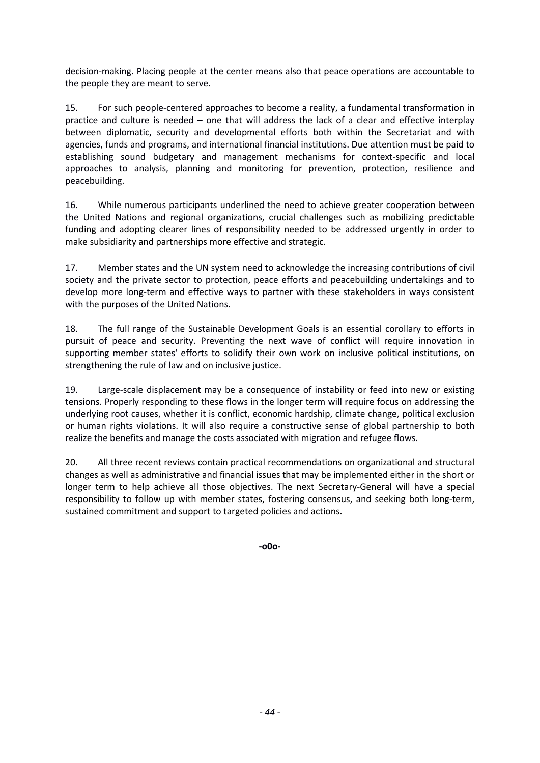decision-making. Placing people at the center means also that peace operations are accountable to the people they are meant to serve.

15. For such people-centered approaches to become a reality, a fundamental transformation in practice and culture is needed – one that will address the lack of a clear and effective interplay between diplomatic, security and developmental efforts both within the Secretariat and with agencies, funds and programs, and international financial institutions. Due attention must be paid to establishing sound budgetary and management mechanisms for context-specific and local approaches to analysis, planning and monitoring for prevention, protection, resilience and peacebuilding.

16. While numerous participants underlined the need to achieve greater cooperation between the United Nations and regional organizations, crucial challenges such as mobilizing predictable funding and adopting clearer lines of responsibility needed to be addressed urgently in order to make subsidiarity and partnerships more effective and strategic.

17. Member states and the UN system need to acknowledge the increasing contributions of civil society and the private sector to protection, peace efforts and peacebuilding undertakings and to develop more long-term and effective ways to partner with these stakeholders in ways consistent with the purposes of the United Nations.

18. The full range of the Sustainable Development Goals is an essential corollary to efforts in pursuit of peace and security. Preventing the next wave of conflict will require innovation in supporting member states' efforts to solidify their own work on inclusive political institutions, on strengthening the rule of law and on inclusive justice.

19. Large-scale displacement may be a consequence of instability or feed into new or existing tensions. Properly responding to these flows in the longer term will require focus on addressing the underlying root causes, whether it is conflict, economic hardship, climate change, political exclusion or human rights violations. It will also require a constructive sense of global partnership to both realize the benefits and manage the costs associated with migration and refugee flows.

20. All three recent reviews contain practical recommendations on organizational and structural changes as well as administrative and financial issues that may be implemented either in the short or longer term to help achieve all those objectives. The next Secretary-General will have a special responsibility to follow up with member states, fostering consensus, and seeking both long-term, sustained commitment and support to targeted policies and actions.

**-o0o-**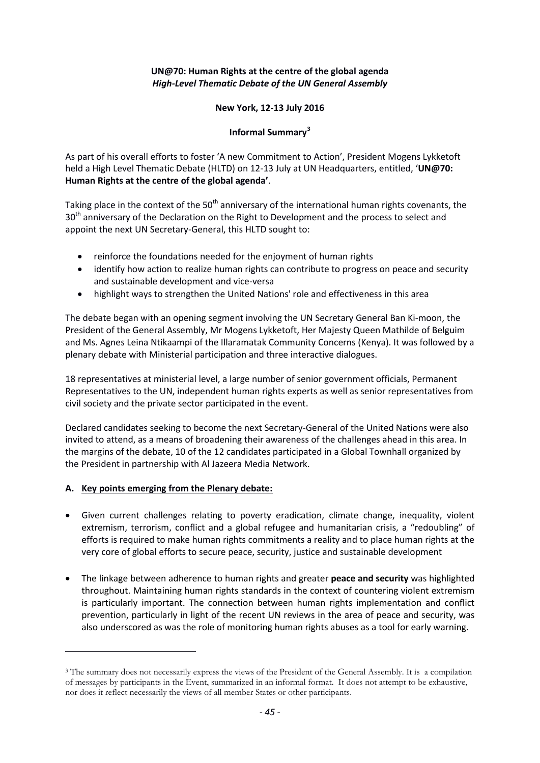## **UN@70: Human Rights at the centre of the global agenda**  *High-Level Thematic Debate of the UN General Assembly*

#### **New York, 12-13 July 2016**

## **Informal Summary[3](#page-34-0)**

As part of his overall efforts to foster 'A new Commitment to Action', President Mogens Lykketoft held a High Level Thematic Debate (HLTD) on 12-13 July at UN Headquarters, entitled, '**UN@70: Human Rights at the centre of the global agenda'**.

Taking place in the context of the 50<sup>th</sup> anniversary of the international human rights covenants, the 30<sup>th</sup> anniversary of the Declaration on the Right to Development and the process to select and appoint the next UN Secretary-General, this HLTD sought to:

- reinforce the foundations needed for the enjoyment of human rights
- identify how action to realize human rights can contribute to progress on peace and security and sustainable development and vice-versa
- highlight ways to strengthen the United Nations' role and effectiveness in this area

The debate began with an opening segment involving the UN Secretary General Ban Ki-moon, the President of the General Assembly, Mr Mogens Lykketoft, Her Majesty Queen Mathilde of Belguim and Ms. Agnes Leina Ntikaampi of the Illaramatak Community Concerns (Kenya). It was followed by a plenary debate with Ministerial participation and three interactive dialogues.

18 representatives at ministerial level, a large number of senior government officials, Permanent Representatives to the UN, independent human rights experts as well as senior representatives from civil society and the private sector participated in the event.

Declared candidates seeking to become the next Secretary-General of the United Nations were also invited to attend, as a means of broadening their awareness of the challenges ahead in this area. In the margins of the debate, 10 of the 12 candidates participated in a Global Townhall organized by the President in partnership with Al Jazeera Media Network.

## **A. Key points emerging from the Plenary debate:**

 $\overline{a}$ 

- Given current challenges relating to poverty eradication, climate change, inequality, violent extremism, terrorism, conflict and a global refugee and humanitarian crisis, a "redoubling" of efforts is required to make human rights commitments a reality and to place human rights at the very core of global efforts to secure peace, security, justice and sustainable development
- The linkage between adherence to human rights and greater **peace and security** was highlighted throughout. Maintaining human rights standards in the context of countering violent extremism is particularly important. The connection between human rights implementation and conflict prevention, particularly in light of the recent UN reviews in the area of peace and security, was also underscored as was the role of monitoring human rights abuses as a tool for early warning.

<sup>&</sup>lt;sup>3</sup> The summary does not necessarily express the views of the President of the General Assembly. It is a compilation of messages by participants in the Event, summarized in an informal format. It does not attempt to be exhaustive, nor does it reflect necessarily the views of all member States or other participants.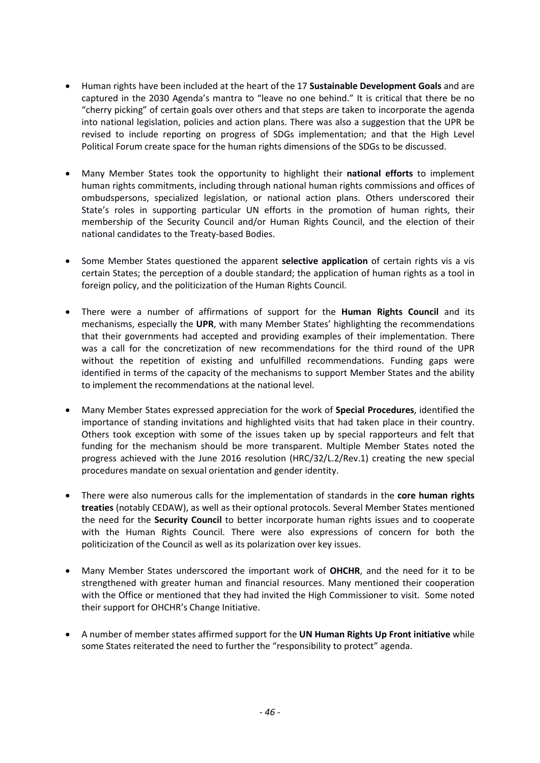- Human rights have been included at the heart of the 17 **Sustainable Development Goals** and are captured in the 2030 Agenda's mantra to "leave no one behind." It is critical that there be no "cherry picking" of certain goals over others and that steps are taken to incorporate the agenda into national legislation, policies and action plans. There was also a suggestion that the UPR be revised to include reporting on progress of SDGs implementation; and that the High Level Political Forum create space for the human rights dimensions of the SDGs to be discussed.
- Many Member States took the opportunity to highlight their **national efforts** to implement human rights commitments, including through national human rights commissions and offices of ombudspersons, specialized legislation, or national action plans. Others underscored their State's roles in supporting particular UN efforts in the promotion of human rights, their membership of the Security Council and/or Human Rights Council, and the election of their national candidates to the Treaty-based Bodies.
- Some Member States questioned the apparent **selective application** of certain rights vis a vis certain States; the perception of a double standard; the application of human rights as a tool in foreign policy, and the politicization of the Human Rights Council.
- There were a number of affirmations of support for the **Human Rights Council** and its mechanisms, especially the **UPR**, with many Member States' highlighting the recommendations that their governments had accepted and providing examples of their implementation. There was a call for the concretization of new recommendations for the third round of the UPR without the repetition of existing and unfulfilled recommendations. Funding gaps were identified in terms of the capacity of the mechanisms to support Member States and the ability to implement the recommendations at the national level.
- Many Member States expressed appreciation for the work of **Special Procedures**, identified the importance of standing invitations and highlighted visits that had taken place in their country. Others took exception with some of the issues taken up by special rapporteurs and felt that funding for the mechanism should be more transparent. Multiple Member States noted the progress achieved with the June 2016 resolution (HRC/32/L.2/Rev.1) creating the new special procedures mandate on sexual orientation and gender identity.
- There were also numerous calls for the implementation of standards in the **core human rights treaties** (notably CEDAW), as well as their optional protocols. Several Member States mentioned the need for the **Security Council** to better incorporate human rights issues and to cooperate with the Human Rights Council. There were also expressions of concern for both the politicization of the Council as well as its polarization over key issues.
- Many Member States underscored the important work of **OHCHR**, and the need for it to be strengthened with greater human and financial resources. Many mentioned their cooperation with the Office or mentioned that they had invited the High Commissioner to visit. Some noted their support for OHCHR's Change Initiative.
- A number of member states affirmed support for the **UN Human Rights Up Front initiative** while some States reiterated the need to further the "responsibility to protect" agenda.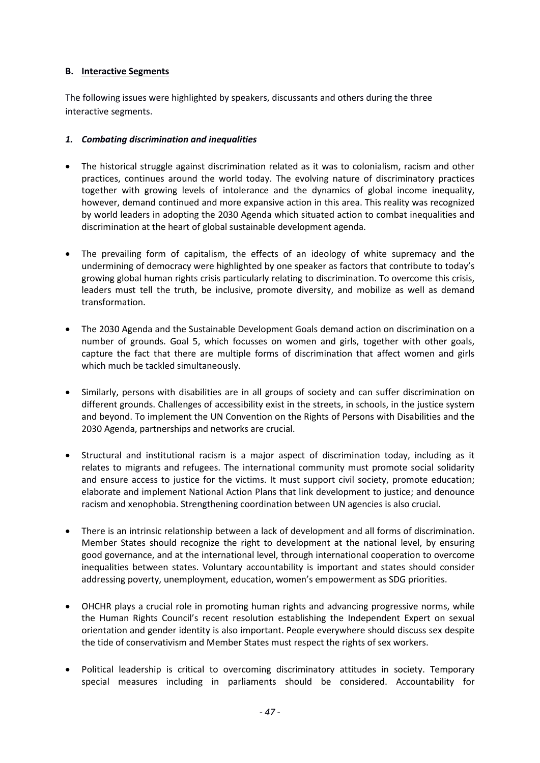### **B. Interactive Segments**

The following issues were highlighted by speakers, discussants and others during the three interactive segments.

### *1. Combating discrimination and inequalities*

- The historical struggle against discrimination related as it was to colonialism, racism and other practices, continues around the world today. The evolving nature of discriminatory practices together with growing levels of intolerance and the dynamics of global income inequality, however, demand continued and more expansive action in this area. This reality was recognized by world leaders in adopting the 2030 Agenda which situated action to combat inequalities and discrimination at the heart of global sustainable development agenda.
- The prevailing form of capitalism, the effects of an ideology of white supremacy and the undermining of democracy were highlighted by one speaker as factors that contribute to today's growing global human rights crisis particularly relating to discrimination. To overcome this crisis, leaders must tell the truth, be inclusive, promote diversity, and mobilize as well as demand transformation.
- The 2030 Agenda and the Sustainable Development Goals demand action on discrimination on a number of grounds. Goal 5, which focusses on women and girls, together with other goals, capture the fact that there are multiple forms of discrimination that affect women and girls which much be tackled simultaneously.
- Similarly, persons with disabilities are in all groups of society and can suffer discrimination on different grounds. Challenges of accessibility exist in the streets, in schools, in the justice system and beyond. To implement the UN Convention on the Rights of Persons with Disabilities and the 2030 Agenda, partnerships and networks are crucial.
- Structural and institutional racism is a major aspect of discrimination today, including as it relates to migrants and refugees. The international community must promote social solidarity and ensure access to justice for the victims. It must support civil society, promote education; elaborate and implement National Action Plans that link development to justice; and denounce racism and xenophobia. Strengthening coordination between UN agencies is also crucial.
- There is an intrinsic relationship between a lack of development and all forms of discrimination. Member States should recognize the right to development at the national level, by ensuring good governance, and at the international level, through international cooperation to overcome inequalities between states. Voluntary accountability is important and states should consider addressing poverty, unemployment, education, women's empowerment as SDG priorities.
- OHCHR plays a crucial role in promoting human rights and advancing progressive norms, while the Human Rights Council's recent resolution establishing the Independent Expert on sexual orientation and gender identity is also important. People everywhere should discuss sex despite the tide of conservativism and Member States must respect the rights of sex workers.
- Political leadership is critical to overcoming discriminatory attitudes in society. Temporary special measures including in parliaments should be considered. Accountability for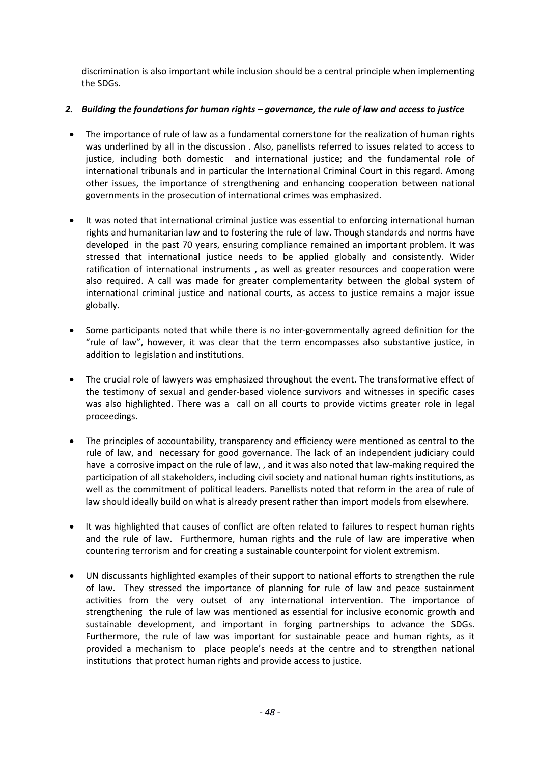discrimination is also important while inclusion should be a central principle when implementing the SDGs.

## *2. Building the foundations for human rights – governance, the rule of law and access to justice*

- The importance of rule of law as a fundamental cornerstone for the realization of human rights was underlined by all in the discussion . Also, panellists referred to issues related to access to justice, including both domestic and international justice; and the fundamental role of international tribunals and in particular the International Criminal Court in this regard. Among other issues, the importance of strengthening and enhancing cooperation between national governments in the prosecution of international crimes was emphasized.
- It was noted that international criminal justice was essential to enforcing international human rights and humanitarian law and to fostering the rule of law. Though standards and norms have developed in the past 70 years, ensuring compliance remained an important problem. It was stressed that international justice needs to be applied globally and consistently. Wider ratification of international instruments , as well as greater resources and cooperation were also required. A call was made for greater complementarity between the global system of international criminal justice and national courts, as access to justice remains a major issue globally.
- Some participants noted that while there is no inter-governmentally agreed definition for the "rule of law", however, it was clear that the term encompasses also substantive justice, in addition to legislation and institutions.
- The crucial role of lawyers was emphasized throughout the event. The transformative effect of the testimony of sexual and gender-based violence survivors and witnesses in specific cases was also highlighted. There was a call on all courts to provide victims greater role in legal proceedings.
- The principles of accountability, transparency and efficiency were mentioned as central to the rule of law, and necessary for good governance. The lack of an independent judiciary could have a corrosive impact on the rule of law, , and it was also noted that law-making required the participation of all stakeholders, including civil society and national human rights institutions, as well as the commitment of political leaders. Panellists noted that reform in the area of rule of law should ideally build on what is already present rather than import models from elsewhere.
- It was highlighted that causes of conflict are often related to failures to respect human rights and the rule of law. Furthermore, human rights and the rule of law are imperative when countering terrorism and for creating a sustainable counterpoint for violent extremism.
- UN discussants highlighted examples of their support to national efforts to strengthen the rule of law. They stressed the importance of planning for rule of law and peace sustainment activities from the very outset of any international intervention. The importance of strengthening the rule of law was mentioned as essential for inclusive economic growth and sustainable development, and important in forging partnerships to advance the SDGs. Furthermore, the rule of law was important for sustainable peace and human rights, as it provided a mechanism to place people's needs at the centre and to strengthen national institutions that protect human rights and provide access to justice.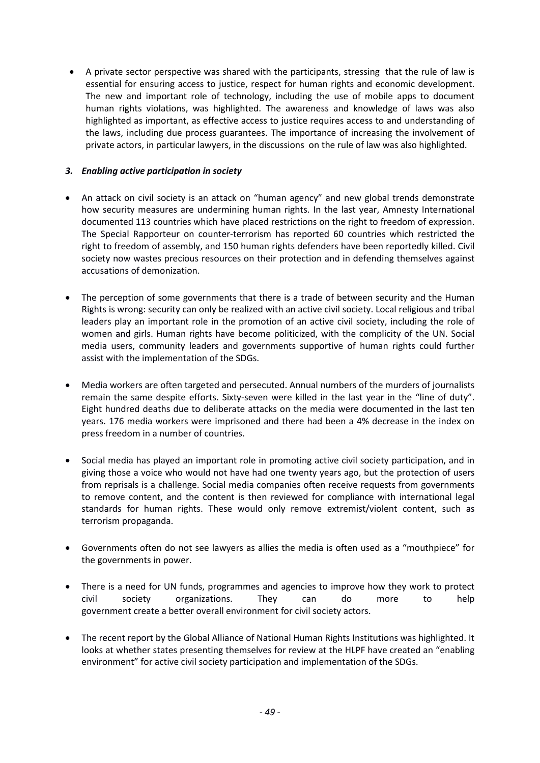• A private sector perspective was shared with the participants, stressing that the rule of law is essential for ensuring access to justice, respect for human rights and economic development. The new and important role of technology, including the use of mobile apps to document human rights violations, was highlighted. The awareness and knowledge of laws was also highlighted as important, as effective access to justice requires access to and understanding of the laws, including due process guarantees. The importance of increasing the involvement of private actors, in particular lawyers, in the discussions on the rule of law was also highlighted.

## *3. Enabling active participation in society*

- An attack on civil society is an attack on "human agency" and new global trends demonstrate how security measures are undermining human rights. In the last year, Amnesty International documented 113 countries which have placed restrictions on the right to freedom of expression. The Special Rapporteur on counter-terrorism has reported 60 countries which restricted the right to freedom of assembly, and 150 human rights defenders have been reportedly killed. Civil society now wastes precious resources on their protection and in defending themselves against accusations of demonization.
- The perception of some governments that there is a trade of between security and the Human Rights is wrong: security can only be realized with an active civil society. Local religious and tribal leaders play an important role in the promotion of an active civil society, including the role of women and girls. Human rights have become politicized, with the complicity of the UN. Social media users, community leaders and governments supportive of human rights could further assist with the implementation of the SDGs.
- Media workers are often targeted and persecuted. Annual numbers of the murders of journalists remain the same despite efforts. Sixty-seven were killed in the last year in the "line of duty". Eight hundred deaths due to deliberate attacks on the media were documented in the last ten years. 176 media workers were imprisoned and there had been a 4% decrease in the index on press freedom in a number of countries.
- Social media has played an important role in promoting active civil society participation, and in giving those a voice who would not have had one twenty years ago, but the protection of users from reprisals is a challenge. Social media companies often receive requests from governments to remove content, and the content is then reviewed for compliance with international legal standards for human rights. These would only remove extremist/violent content, such as terrorism propaganda.
- Governments often do not see lawyers as allies the media is often used as a "mouthpiece" for the governments in power.
- There is a need for UN funds, programmes and agencies to improve how they work to protect civil society organizations. They can do more to help government create a better overall environment for civil society actors.
- The recent report by the Global Alliance of National Human Rights Institutions was highlighted. It looks at whether states presenting themselves for review at the HLPF have created an "enabling environment" for active civil society participation and implementation of the SDGs.